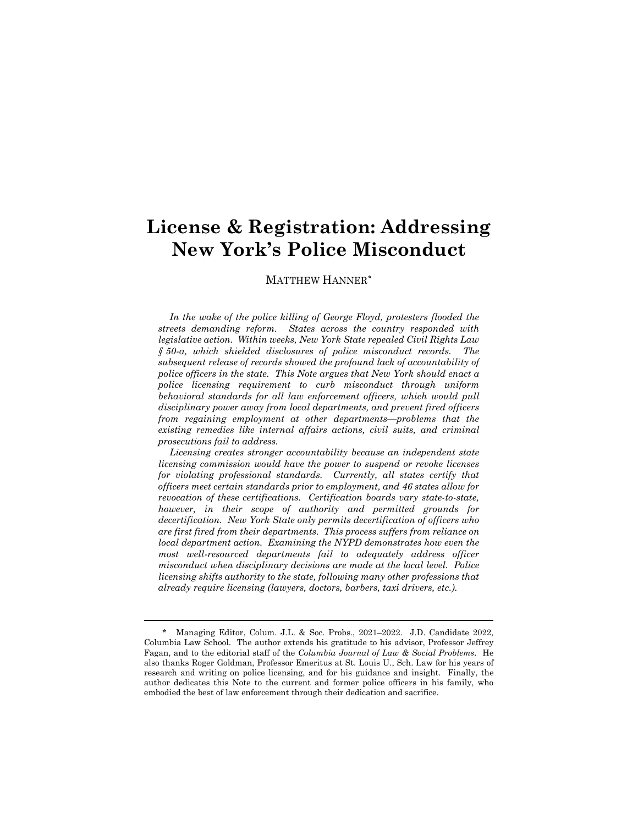# **License & Registration: Addressing New York's Police Misconduct**

## MATTHEW HANNER[\\*](#page-0-0)

*In the wake of the police killing of George Floyd, protesters flooded the streets demanding reform. States across the country responded with legislative action. Within weeks, New York State repealed Civil Rights Law § 50-a, which shielded disclosures of police misconduct records. The subsequent release of records showed the profound lack of accountability of police officers in the state. This Note argues that New York should enact a police licensing requirement to curb misconduct through uniform behavioral standards for all law enforcement officers, which would pull disciplinary power away from local departments, and prevent fired officers from regaining employment at other departments—problems that the existing remedies like internal affairs actions, civil suits, and criminal prosecutions fail to address.*

*Licensing creates stronger accountability because an independent state licensing commission would have the power to suspend or revoke licenses for violating professional standards. Currently, all states certify that officers meet certain standards prior to employment, and 46 states allow for revocation of these certifications. Certification boards vary state-to-state, however, in their scope of authority and permitted grounds for decertification. New York State only permits decertification of officers who are first fired from their departments. This process suffers from reliance on local department action. Examining the NYPD demonstrates how even the most well-resourced departments fail to adequately address officer misconduct when disciplinary decisions are made at the local level. Police licensing shifts authority to the state, following many other professions that already require licensing (lawyers, doctors, barbers, taxi drivers, etc.).*

<span id="page-0-0"></span>Managing Editor, Colum. J.L. & Soc. Probs., 2021–2022. J.D. Candidate 2022, Columbia Law School. The author extends his gratitude to his advisor, Professor Jeffrey Fagan, and to the editorial staff of the *Columbia Journal of Law & Social Problems*. He also thanks Roger Goldman, Professor Emeritus at St. Louis U., Sch. Law for his years of research and writing on police licensing, and for his guidance and insight. Finally, the author dedicates this Note to the current and former police officers in his family, who embodied the best of law enforcement through their dedication and sacrifice.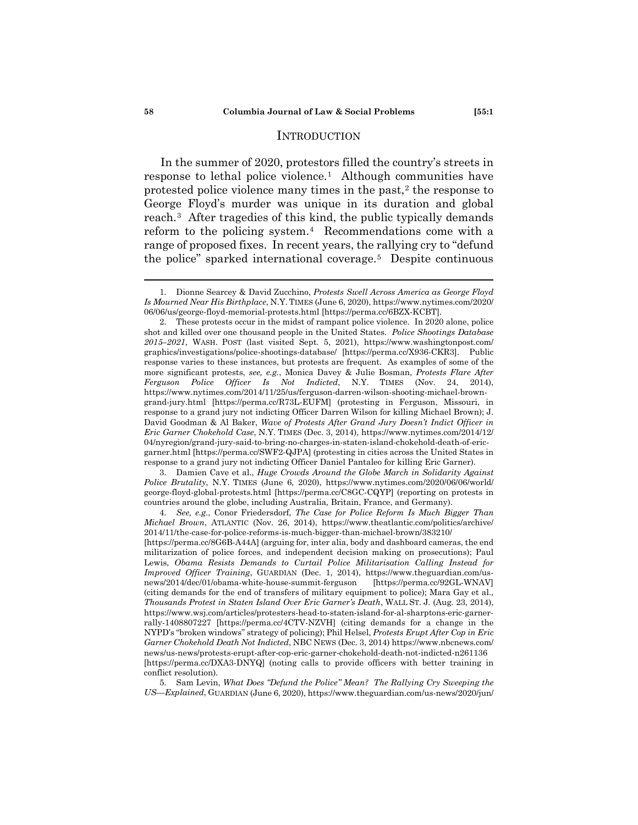## **INTRODUCTION**

In the summer of 2020, protestors filled the country's streets in response to lethal police violence.<sup>[1](#page-1-0)</sup> Although communities have protested police violence many times in the past,<sup>[2](#page-1-1)</sup> the response to George Floyd's murder was unique in its duration and global reach.[3](#page-1-2) After tragedies of this kind, the public typically demands reform to the policing system.[4](#page-1-3) Recommendations come with a range of proposed fixes. In recent years, the rallying cry to "defund the police" sparked international coverage.[5](#page-1-4) Despite continuous

<span id="page-1-2"></span>3. Damien Cave et al., *Huge Crowds Around the Globe March in Solidarity Against Police Brutality*, N.Y. TIMES (June 6, 2020), https://www.nytimes.com/2020/06/06/world/ george-floyd-global-protests.html [https://perma.cc/C8GC-CQYP] (reporting on protests in countries around the globe, including Australia, Britain, France, and Germany).

<span id="page-1-3"></span>4. *See, e.g.*, Conor Friedersdorf, *The Case for Police Reform Is Much Bigger Than Michael Brown*, ATLANTIC (Nov. 26, 2014), https://www.theatlantic.com/politics/archive/ 2014/11/the-case-for-police-reforms-is-much-bigger-than-michael-brown/383210/

<span id="page-1-4"></span>5. Sam Levin, *What Does "Defund the Police" Mean? The Rallying Cry Sweeping the US—Explained*, GUARDIAN (June 6, 2020), https://www.theguardian.com/us-news/2020/jun/

<span id="page-1-0"></span><sup>1.</sup> Dionne Searcey & David Zucchino, *Protests Swell Across America as George Floyd Is Mourned Near His Birthplace*, N.Y. TIMES (June 6, 2020), https://www.nytimes.com/2020/ 06/06/us/george-floyd-memorial-protests.html [https://perma.cc/6BZX-KCBT].

<span id="page-1-1"></span><sup>2.</sup> These protests occur in the midst of rampant police violence. In 2020 alone, police shot and killed over one thousand people in the United States. *Police Shootings Database 2015–2021*, WASH. POST (last visited Sept. 5, 2021), https://www.washingtonpost.com/ graphics/investigations/police-shootings-database/ [https://perma.cc/X936-CKR3]. Public response varies to these instances, but protests are frequent. As examples of some of the more significant protests, *see, e.g.*, Monica Davey & Julie Bosman, *Protests Flare After Ferguson Police Officer Is Not Indicted*, N.Y. TIMES (Nov. 24, 2014), https://www.nytimes.com/2014/11/25/us/ferguson-darren-wilson-shooting-michael-browngrand-jury.html [https://perma.cc/R73L-EUFM] (protesting in Ferguson, Missouri, in response to a grand jury not indicting Officer Darren Wilson for killing Michael Brown); J. David Goodman & Al Baker, *Wave of Protests After Grand Jury Doesn't Indict Officer in Eric Garner Chokehold Case*, N.Y. TIMES (Dec. 3, 2014), https://www.nytimes.com/2014/12/ 04/nyregion/grand-jury-said-to-bring-no-charges-in-staten-island-chokehold-death-of-ericgarner.html [https://perma.cc/SWF2-QJPA] (protesting in cities across the United States in response to a grand jury not indicting Officer Daniel Pantaleo for killing Eric Garner).

<sup>[</sup>https://perma.cc/8G6B-A44A] (arguing for, inter alia, body and dashboard cameras, the end militarization of police forces, and independent decision making on prosecutions); Paul Lewis, *Obama Resists Demands to Curtail Police Militarisation Calling Instead for Improved Officer Training*, GUARDIAN (Dec. 1, 2014), https://www.theguardian.com/usnews/2014/dec/01/obama-white-house-summit-ferguson [https://perma.cc/92GL-WNAV] (citing demands for the end of transfers of military equipment to police); Mara Gay et al., *Thousands Protest in Staten Island Over Eric Garner's Death*, WALL ST. J. (Aug. 23, 2014), https://www.wsj.com/articles/protesters-head-to-staten-island-for-al-sharptons-eric-garnerrally-1408807227 [https://perma.cc/4CTV-NZVH] (citing demands for a change in the NYPD's "broken windows" strategy of policing); Phil Helsel, *Protests Erupt After Cop in Eric Garner Chokehold Death Not Indicted*, NBC NEWS (Dec. 3, 2014) https://www.nbcnews.com/ news/us-news/protests-erupt-after-cop-eric-garner-chokehold-death-not-indicted-n261136 [https://perma.cc/DXA3-DNYQ] (noting calls to provide officers with better training in conflict resolution).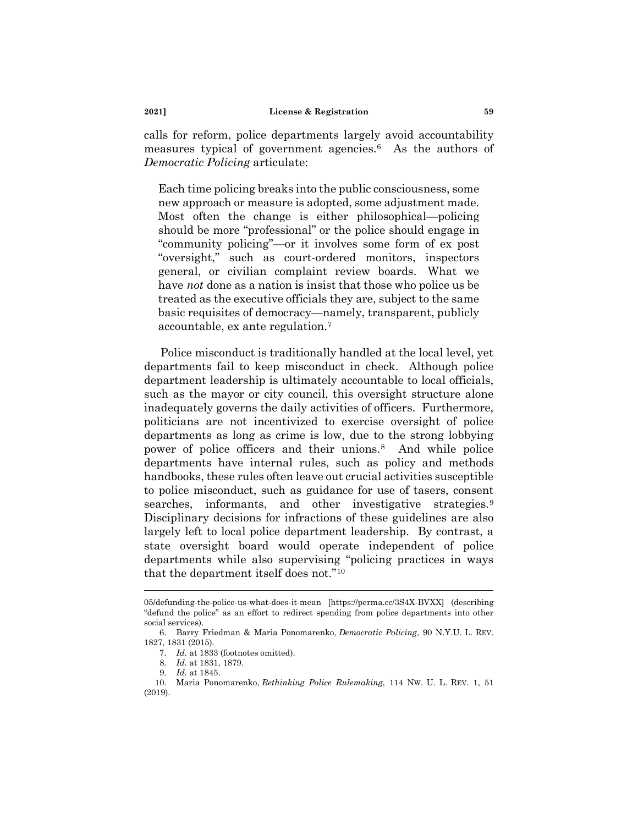calls for reform, police departments largely avoid accountability measures typical of government agencies.[6](#page-2-0) As the authors of *Democratic Policing* articulate:

Each time policing breaks into the public consciousness, some new approach or measure is adopted, some adjustment made. Most often the change is either philosophical—policing should be more "professional" or the police should engage in "community policing"—or it involves some form of ex post "oversight," such as court-ordered monitors, inspectors general, or civilian complaint review boards. What we have *not* done as a nation is insist that those who police us be treated as the executive officials they are, subject to the same basic requisites of democracy—namely, transparent, publicly accountable, ex ante regulation.[7](#page-2-1)

Police misconduct is traditionally handled at the local level, yet departments fail to keep misconduct in check. Although police department leadership is ultimately accountable to local officials, such as the mayor or city council, this oversight structure alone inadequately governs the daily activities of officers. Furthermore, politicians are not incentivized to exercise oversight of police departments as long as crime is low, due to the strong lobbying power of police officers and their unions.[8](#page-2-2) And while police departments have internal rules, such as policy and methods handbooks, these rules often leave out crucial activities susceptible to police misconduct, such as guidance for use of tasers, consent searches, informants, and other investigative strategies.<sup>9</sup> Disciplinary decisions for infractions of these guidelines are also largely left to local police department leadership. By contrast, a state oversight board would operate independent of police departments while also supervising "policing practices in ways that the department itself does not.["10](#page-2-4)

<sup>05/</sup>defunding-the-police-us-what-does-it-mean [https://perma.cc/3S4X-BVXX] (describing "defund the police" as an effort to redirect spending from police departments into other social services).

<span id="page-2-1"></span><span id="page-2-0"></span><sup>6.</sup> Barry Friedman & Maria Ponomarenko, *Democratic Policing*, 90 N.Y.U. L. REV. 1827, 1831 (2015).

<sup>7.</sup> *Id.* at 1833 (footnotes omitted).

<sup>8.</sup> *Id.* at 1831, 1879.

<sup>9.</sup> *Id.* at 1845.

<span id="page-2-4"></span><span id="page-2-3"></span><span id="page-2-2"></span><sup>10.</sup> Maria Ponomarenko, *Rethinking Police Rulemaking*, 114 NW. U. L. REV. 1, 51 (2019).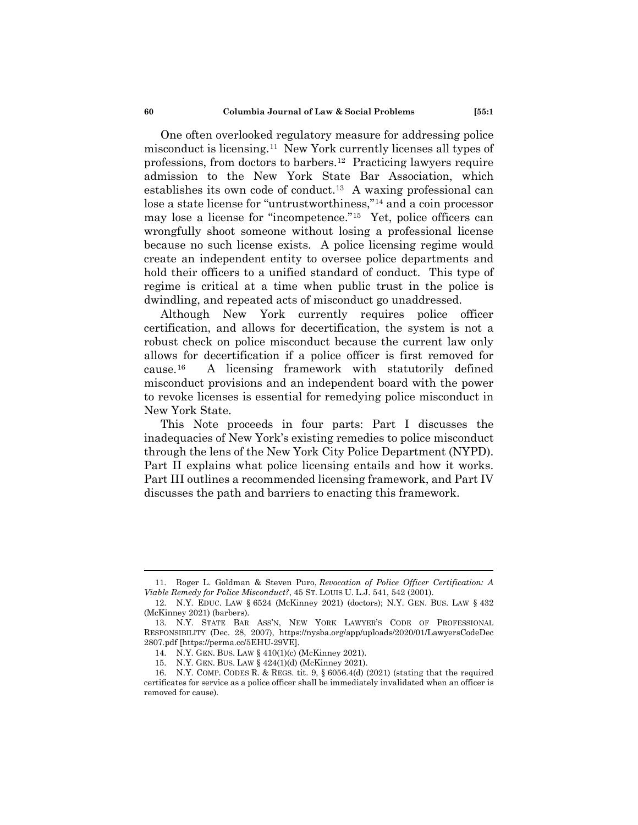One often overlooked regulatory measure for addressing police misconduct is licensing.[11](#page-3-0) New York currently licenses all types of professions, from doctors to barbers.[12](#page-3-1) Practicing lawyers require admission to the New York State Bar Association, which establishes its own code of conduct[.13](#page-3-2) A waxing professional can lose a state license for "untrustworthiness,"[14](#page-3-3) and a coin processor may lose a license for "incompetence."[15](#page-3-4) Yet, police officers can wrongfully shoot someone without losing a professional license because no such license exists. A police licensing regime would create an independent entity to oversee police departments and hold their officers to a unified standard of conduct. This type of regime is critical at a time when public trust in the police is dwindling, and repeated acts of misconduct go unaddressed.

Although New York currently requires police officer certification, and allows for decertification, the system is not a robust check on police misconduct because the current law only allows for decertification if a police officer is first removed for cause.[16](#page-3-5) A licensing framework with statutorily defined misconduct provisions and an independent board with the power to revoke licenses is essential for remedying police misconduct in New York State.

This Note proceeds in four parts: Part I discusses the inadequacies of New York's existing remedies to police misconduct through the lens of the New York City Police Department (NYPD). Part II explains what police licensing entails and how it works. Part III outlines a recommended licensing framework, and Part IV discusses the path and barriers to enacting this framework.

<span id="page-3-0"></span><sup>11.</sup> Roger L. Goldman & Steven Puro, *Revocation of Police Officer Certification: A Viable Remedy for Police Misconduct?*, 45 ST. LOUIS U. L.J. 541, 542 (2001).

<span id="page-3-1"></span><sup>12.</sup> N.Y. EDUC. LAW § 6524 (McKinney 2021) (doctors); N.Y. GEN. BUS. LAW § 432 (McKinney 2021) (barbers).

<span id="page-3-2"></span><sup>13.</sup> N.Y. STATE BAR ASS'N, NEW YORK LAWYER'S CODE OF PROFESSIONAL RESPONSIBILITY (Dec. 28, 2007), https://nysba.org/app/uploads/2020/01/LawyersCodeDec 2807.pdf [https://perma.cc/5EHU-29VE].

<sup>14.</sup> N.Y. GEN. BUS. LAW § 410(1)(c) (McKinney 2021).

<sup>15.</sup> N.Y. GEN. BUS. LAW § 424(1)(d) (McKinney 2021).

<span id="page-3-5"></span><span id="page-3-4"></span><span id="page-3-3"></span><sup>16.</sup> N.Y. COMP. CODES R. & REGS. tit. 9, § 6056.4(d) (2021) (stating that the required certificates for service as a police officer shall be immediately invalidated when an officer is removed for cause).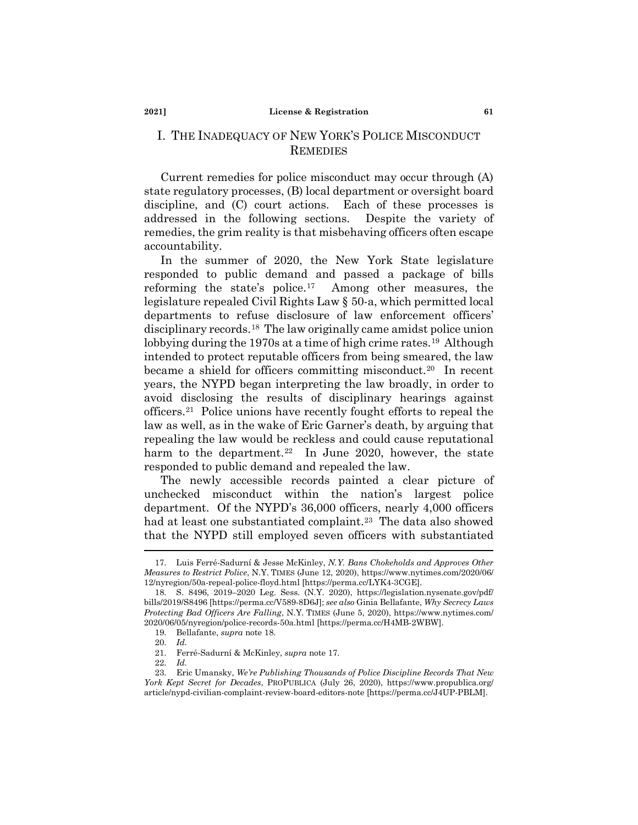# I. THE INADEQUACY OF NEW YORK'S POLICE MISCONDUCT **REMEDIES**

Current remedies for police misconduct may occur through (A) state regulatory processes, (B) local department or oversight board discipline, and (C) court actions. Each of these processes is addressed in the following sections. Despite the variety of remedies, the grim reality is that misbehaving officers often escape accountability.

In the summer of 2020, the New York State legislature responded to public demand and passed a package of bills reforming the state's police.[17](#page-4-0) Among other measures, the legislature repealed Civil Rights Law § 50-a, which permitted local departments to refuse disclosure of law enforcement officers' disciplinary records.[18](#page-4-1) The law originally came amidst police union lobbying during the 1970s at a time of high crime rates.<sup>19</sup> Although intended to protect reputable officers from being smeared, the law became a shield for officers committing misconduct.<sup>[20](#page-4-3)</sup> In recent years, the NYPD began interpreting the law broadly, in order to avoid disclosing the results of disciplinary hearings against officers[.21](#page-4-4) Police unions have recently fought efforts to repeal the law as well, as in the wake of Eric Garner's death, by arguing that repealing the law would be reckless and could cause reputational harm to the department.<sup>22</sup> In June 2020, however, the state responded to public demand and repealed the law.

The newly accessible records painted a clear picture of unchecked misconduct within the nation's largest police department. Of the NYPD's 36,000 officers, nearly 4,000 officers had at least one substantiated complaint.<sup>23</sup> The data also showed that the NYPD still employed seven officers with substantiated

<span id="page-4-0"></span><sup>17.</sup> Luis Ferré-Sadurní & Jesse McKinley, *N.Y. Bans Chokeholds and Approves Other Measures to Restrict Police*, N.Y. TIMES (June 12, 2020), https://www.nytimes.com/2020/06/ 12/nyregion/50a-repeal-police-floyd.html [https://perma.cc/LYK4-3CGE].

<span id="page-4-2"></span><span id="page-4-1"></span><sup>18.</sup> S. 8496, 2019–2020 Leg. Sess. (N.Y. 2020), https://legislation.nysenate.gov/pdf/ bills/2019/S8496 [https://perma.cc/V589-8D6J]; *see also* Ginia Bellafante, *Why Secrecy Laws Protecting Bad Officers Are Falling*, N.Y. TIMES (June 5, 2020), https://www.nytimes.com/ 2020/06/05/nyregion/police-records-50a.html [https://perma.cc/H4MB-2WBW].

<sup>19.</sup> Bellafante, *supra* note 18.

<sup>20.</sup> *Id.*

<sup>21.</sup> Ferré-Sadurní & McKinley, *supra* note 17.

<sup>22.</sup> *Id.*

<span id="page-4-6"></span><span id="page-4-5"></span><span id="page-4-4"></span><span id="page-4-3"></span><sup>23.</sup> Eric Umansky, *We're Publishing Thousands of Police Discipline Records That New York Kept Secret for Decades*, PROPUBLICA (July 26, 2020), https://www.propublica.org/ article/nypd-civilian-complaint-review-board-editors-note [https://perma.cc/J4UP-PBLM].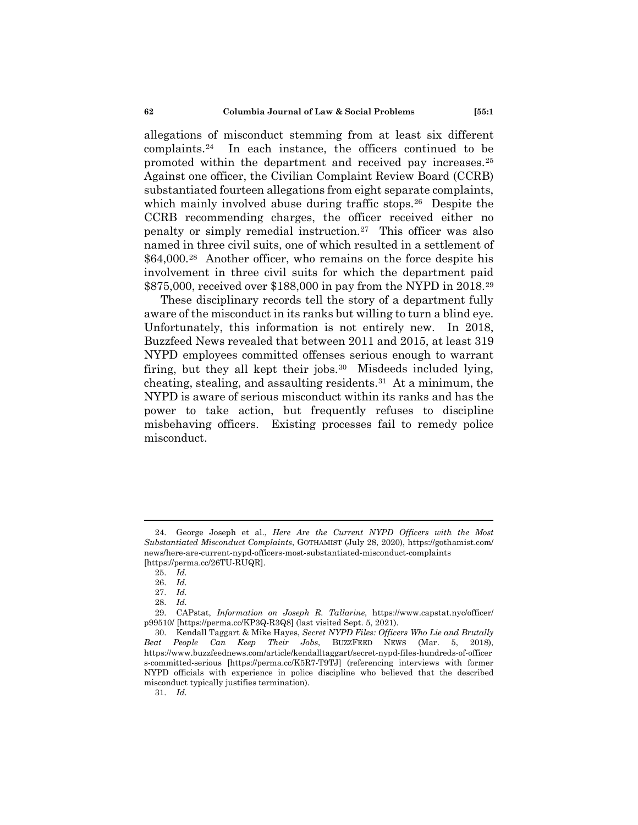allegations of misconduct stemming from at least six different complaints.[24](#page-5-0) In each instance, the officers continued to be promoted within the department and received pay increases.[25](#page-5-1)  Against one officer, the Civilian Complaint Review Board (CCRB) substantiated fourteen allegations from eight separate complaints, which mainly involved abuse during traffic stops.<sup>[26](#page-5-2)</sup> Despite the CCRB recommending charges, the officer received either no penalty or simply remedial instruction.[27](#page-5-3) This officer was also named in three civil suits, one of which resulted in a settlement of \$64,000.[28](#page-5-4) Another officer, who remains on the force despite his involvement in three civil suits for which the department paid \$875,000, received over \$188,000 in pay from the NYPD in 2018.[29](#page-5-5)

These disciplinary records tell the story of a department fully aware of the misconduct in its ranks but willing to turn a blind eye. Unfortunately, this information is not entirely new. In 2018, Buzzfeed News revealed that between 2011 and 2015, at least 319 NYPD employees committed offenses serious enough to warrant firing, but they all kept their jobs.<sup>30</sup> Misdeeds included lying, cheating, stealing, and assaulting residents.[31](#page-5-7) At a minimum, the NYPD is aware of serious misconduct within its ranks and has the power to take action, but frequently refuses to discipline misbehaving officers. Existing processes fail to remedy police misconduct.

<span id="page-5-7"></span>31. *Id.*

<span id="page-5-1"></span><span id="page-5-0"></span><sup>24.</sup> George Joseph et al., *Here Are the Current NYPD Officers with the Most Substantiated Misconduct Complaints*, GOTHAMIST (July 28, 2020), https://gothamist.com/ news/here-are-current-nypd-officers-most-substantiated-misconduct-complaints [https://perma.cc/26TU-RUQR].

<sup>25.</sup> *Id.*

<sup>26.</sup> *Id.*

<sup>27.</sup> *Id.*

<sup>28.</sup> *Id.*

<span id="page-5-5"></span><span id="page-5-4"></span><span id="page-5-3"></span><span id="page-5-2"></span><sup>29.</sup> CAPstat, *Information on Joseph R. Tallarine*, https://www.capstat.nyc/officer/ p99510/ [https://perma.cc/KP3Q-R3Q8] (last visited Sept. 5, 2021).

<span id="page-5-6"></span><sup>30.</sup> Kendall Taggart & Mike Hayes, *Secret NYPD Files: Officers Who Lie and Brutally Beat People Can Keep Their Jobs*, BUZZFEED NEWS (Mar. 5, 2018), https://www.buzzfeednews.com/article/kendalltaggart/secret-nypd-files-hundreds-of-officer s-committed-serious [https://perma.cc/K5R7-T9TJ] (referencing interviews with former NYPD officials with experience in police discipline who believed that the described misconduct typically justifies termination).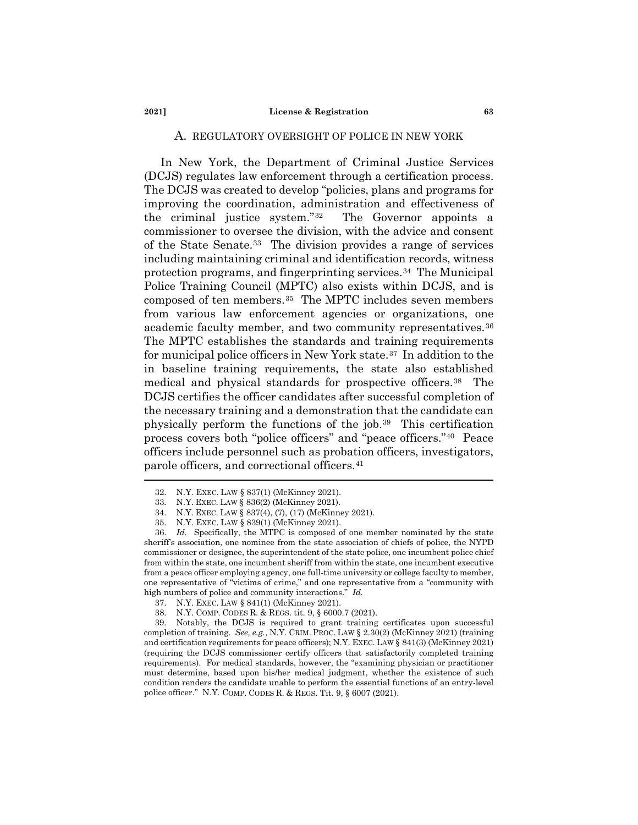# A. REGULATORY OVERSIGHT OF POLICE IN NEW YORK

In New York, the Department of Criminal Justice Services (DCJS) regulates law enforcement through a certification process. The DCJS was created to develop "policies, plans and programs for improving the coordination, administration and effectiveness of the criminal justice system."[32](#page-6-0) The Governor appoints a commissioner to oversee the division, with the advice and consent of the State Senate.[33](#page-6-1) The division provides a range of services including maintaining criminal and identification records, witness protection programs, and fingerprinting services.[34](#page-6-2) The Municipal Police Training Council (MPTC) also exists within DCJS, and is composed of ten members.[35](#page-6-3) The MPTC includes seven members from various law enforcement agencies or organizations, one academic faculty member, and two community representatives.<sup>36</sup> The MPTC establishes the standards and training requirements for municipal police officers in New York state.[37](#page-6-5) In addition to the in baseline training requirements, the state also established medical and physical standards for prospective officers.[38](#page-6-6) The DCJS certifies the officer candidates after successful completion of the necessary training and a demonstration that the candidate can physically perform the functions of the job.[39](#page-6-7) This certification process covers both "police officers" and "peace officers."[40](#page-6-8) Peace officers include personnel such as probation officers, investigators, parole officers, and correctional officers[.41](#page-6-9)

<span id="page-6-9"></span><span id="page-6-8"></span><sup>32.</sup> N.Y. EXEC. LAW § 837(1) (McKinney 2021).

<sup>33.</sup> N.Y. EXEC. LAW § 836(2) (McKinney 2021).

<sup>34.</sup> N.Y. EXEC. LAW § 837(4), (7), (17) (McKinney 2021).

<sup>35.</sup> N.Y. EXEC. LAW § 839(1) (McKinney 2021).

<span id="page-6-4"></span><span id="page-6-3"></span><span id="page-6-2"></span><span id="page-6-1"></span><span id="page-6-0"></span><sup>36.</sup> *Id.* Specifically, the MTPC is composed of one member nominated by the state sheriff's association, one nominee from the state association of chiefs of police, the NYPD commissioner or designee, the superintendent of the state police, one incumbent police chief from within the state, one incumbent sheriff from within the state, one incumbent executive from a peace officer employing agency, one full-time university or college faculty to member, one representative of "victims of crime," and one representative from a "community with high numbers of police and community interactions." *Id.*

<sup>37.</sup> N.Y. EXEC. LAW § 841(1) (McKinney 2021).

<sup>38.</sup> N.Y. COMP. CODES R. & REGS. tit. 9, § 6000.7 (2021).

<span id="page-6-7"></span><span id="page-6-6"></span><span id="page-6-5"></span><sup>39.</sup> Notably, the DCJS is required to grant training certificates upon successful completion of training. *See, e.g.*, N.Y. CRIM. PROC. LAW § 2.30(2) (McKinney 2021) (training and certification requirements for peace officers); N.Y. EXEC. LAW § 841(3) (McKinney 2021) (requiring the DCJS commissioner certify officers that satisfactorily completed training requirements). For medical standards, however, the "examining physician or practitioner must determine, based upon his/her medical judgment, whether the existence of such condition renders the candidate unable to perform the essential functions of an entry-level police officer." N.Y. COMP. CODES R. & REGS. Tit. 9, § 6007 (2021).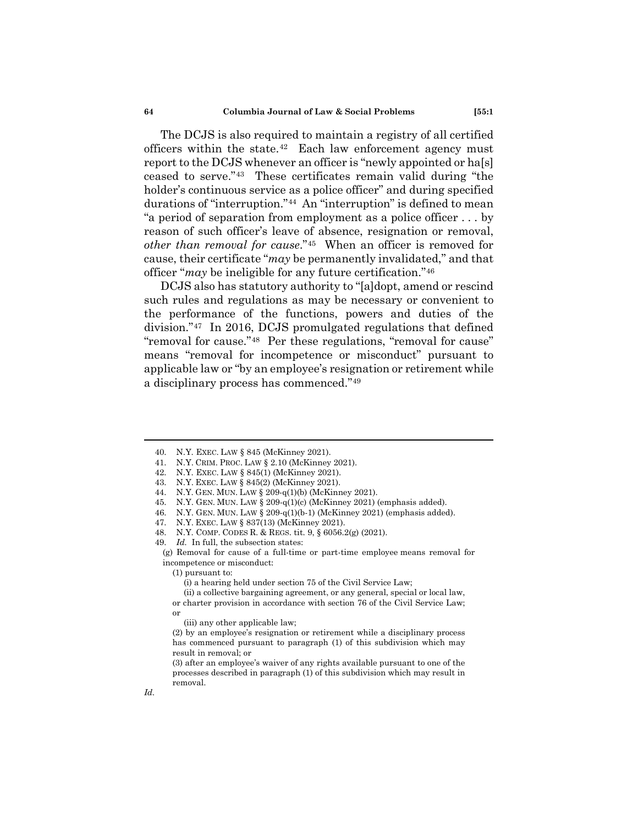The DCJS is also required to maintain a registry of all certified officers within the state.<sup>[42](#page-7-0)</sup> Each law enforcement agency must report to the DCJS whenever an officer is "newly appointed or ha[s] ceased to serve."[43](#page-7-1) These certificates remain valid during "the holder's continuous service as a police officer" and during specified durations of "interruption."[44](#page-7-2) An "interruption" is defined to mean "a period of separation from employment as a police officer . . . by reason of such officer's leave of absence, resignation or removal, *other than removal for cause*.["45](#page-7-3) When an officer is removed for cause, their certificate "*may* be permanently invalidated," and that officer "*may* be ineligible for any future certification."[46](#page-7-4)

DCJS also has statutory authority to "[a]dopt, amend or rescind such rules and regulations as may be necessary or convenient to the performance of the functions, powers and duties of the division."[47](#page-7-5) In 2016, DCJS promulgated regulations that defined "removal for cause."<sup>[48](#page-7-6)</sup> Per these regulations, "removal for cause" means "removal for incompetence or misconduct" pursuant to applicable law or "by an employee's resignation or retirement while a disciplinary process has commenced."[49](#page-7-7)

- <span id="page-7-4"></span>46. N.Y. GEN. MUN. LAW § 209-q(1)(b-1) (McKinney 2021) (emphasis added).
- <span id="page-7-5"></span>47. N.Y. EXEC. LAW § 837(13) (McKinney 2021).

*Id.*

<sup>40.</sup> N.Y. EXEC. LAW § 845 (McKinney 2021).

<sup>41.</sup> N.Y. CRIM. PROC. LAW § 2.10 (McKinney 2021).

<span id="page-7-1"></span><span id="page-7-0"></span><sup>42.</sup> N.Y. EXEC. LAW § 845(1) (McKinney 2021).

<sup>43.</sup> N.Y. EXEC. LAW § 845(2) (McKinney 2021).

<span id="page-7-2"></span><sup>44.</sup> N.Y. GEN. MUN. LAW § 209-q(1)(b) (McKinney 2021).

<span id="page-7-3"></span><sup>45.</sup> N.Y. GEN. MUN. LAW § 209-q(1)(c) (McKinney 2021) (emphasis added).

<span id="page-7-6"></span><sup>48.</sup> N.Y. COMP. CODES R. & REGS. tit. 9, § 6056.2(g) (2021).

<span id="page-7-7"></span><sup>49.</sup> *Id.* In full, the subsection states:

<sup>(</sup>g) Removal for cause of a full-time or part-time employee means removal for incompetence or misconduct:

<sup>(1)</sup> pursuant to:

<sup>(</sup>i) a hearing held under section 75 of the Civil Service Law;

<sup>(</sup>ii) a collective bargaining agreement, or any general, special or local law, or charter provision in accordance with section 76 of the Civil Service Law;

or

<sup>(</sup>iii) any other applicable law;

<sup>(2)</sup> by an employee's resignation or retirement while a disciplinary process has commenced pursuant to paragraph (1) of this subdivision which may result in removal; or

<sup>(3)</sup> after an employee's waiver of any rights available pursuant to one of the processes described in paragraph (1) of this subdivision which may result in removal.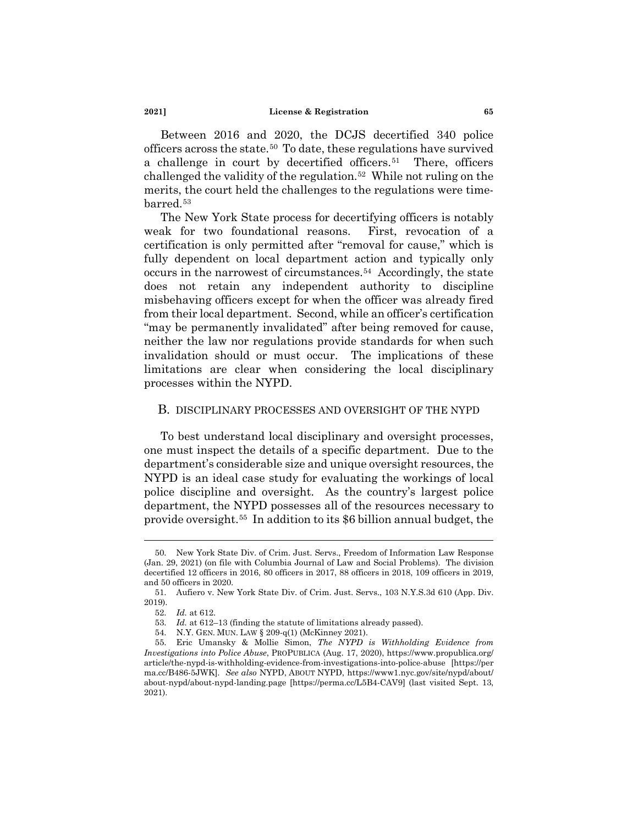Between 2016 and 2020, the DCJS decertified 340 police officers across the state.[50](#page-8-0) To date, these regulations have survived a challenge in court by decertified officers.<sup>51</sup> There, officers challenged the validity of the regulation[.52](#page-8-2) While not ruling on the merits, the court held the challenges to the regulations were time-barred.<sup>[53](#page-8-3)</sup>

The New York State process for decertifying officers is notably weak for two foundational reasons. First, revocation of a certification is only permitted after "removal for cause," which is fully dependent on local department action and typically only occurs in the narrowest of circumstances.[54](#page-8-4) Accordingly, the state does not retain any independent authority to discipline misbehaving officers except for when the officer was already fired from their local department. Second, while an officer's certification "may be permanently invalidated" after being removed for cause, neither the law nor regulations provide standards for when such invalidation should or must occur. The implications of these limitations are clear when considering the local disciplinary processes within the NYPD.

# B. DISCIPLINARY PROCESSES AND OVERSIGHT OF THE NYPD

To best understand local disciplinary and oversight processes, one must inspect the details of a specific department. Due to the department's considerable size and unique oversight resources, the NYPD is an ideal case study for evaluating the workings of local police discipline and oversight. As the country's largest police department, the NYPD possesses all of the resources necessary to provide oversight.[55](#page-8-5) In addition to its \$6 billion annual budget, the

<span id="page-8-0"></span><sup>50.</sup> New York State Div. of Crim. Just. Servs., Freedom of Information Law Response (Jan. 29, 2021) (on file with Columbia Journal of Law and Social Problems). The division decertified 12 officers in 2016, 80 officers in 2017, 88 officers in 2018, 109 officers in 2019, and 50 officers in 2020.

<span id="page-8-2"></span><span id="page-8-1"></span><sup>51.</sup> Aufiero v. New York State Div. of Crim. Just. Servs., 103 N.Y.S.3d 610 (App. Div. 2019).

<sup>52.</sup> *Id.* at 612.

<sup>53.</sup> *Id.* at 612–13 (finding the statute of limitations already passed).

<sup>54.</sup> N.Y. GEN. MUN. LAW § 209-q(1) (McKinney 2021).

<span id="page-8-5"></span><span id="page-8-4"></span><span id="page-8-3"></span><sup>55.</sup> Eric Umansky & Mollie Simon, *The NYPD is Withholding Evidence from Investigations into Police Abuse*, PROPUBLICA (Aug. 17, 2020), https://www.propublica.org/ article/the-nypd-is-withholding-evidence-from-investigations-into-police-abuse [https://per ma.cc/B486-5JWK]. *See also* NYPD, ABOUT NYPD, https://www1.nyc.gov/site/nypd/about/ about-nypd/about-nypd-landing.page [https://perma.cc/L5B4-CAV9] (last visited Sept. 13, 2021).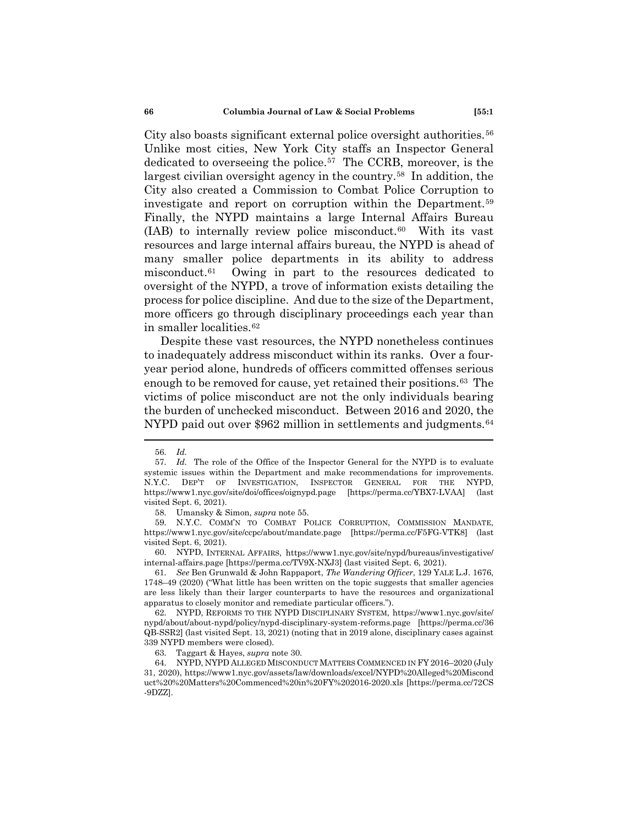City also boasts significant external police oversight authorities.<sup>56</sup> Unlike most cities, New York City staffs an Inspector General dedicated to overseeing the police.[57](#page-9-1) The CCRB, moreover, is the largest civilian oversight agency in the country.[58](#page-9-2) In addition, the City also created a Commission to Combat Police Corruption to investigate and report on corruption within the Department.[59](#page-9-3)  Finally, the NYPD maintains a large Internal Affairs Bureau  $(IAB)$  to internally review police misconduct.<sup>[60](#page-9-4)</sup> With its vast resources and large internal affairs bureau, the NYPD is ahead of many smaller police departments in its ability to address misconduct[.61](#page-9-5) Owing in part to the resources dedicated to oversight of the NYPD, a trove of information exists detailing the process for police discipline. And due to the size of the Department, more officers go through disciplinary proceedings each year than in smaller localities.[62](#page-9-6)

Despite these vast resources, the NYPD nonetheless continues to inadequately address misconduct within its ranks. Over a fouryear period alone, hundreds of officers committed offenses serious enough to be removed for cause, yet retained their positions.[63](#page-9-7) The victims of police misconduct are not the only individuals bearing the burden of unchecked misconduct. Between 2016 and 2020, the NYPD paid out over \$962 million in settlements and judgments.<sup>64</sup>

<sup>56.</sup> *Id.*

<span id="page-9-1"></span><span id="page-9-0"></span><sup>57.</sup> *Id.* The role of the Office of the Inspector General for the NYPD is to evaluate systemic issues within the Department and make recommendations for improvements. N.Y.C. DEP'T OF INVESTIGATION, INSPECTOR GENERAL FOR THE NYPD, https://www1.nyc.gov/site/doi/offices/oignypd.page [https://perma.cc/YBX7-LVAA] (last visited Sept. 6, 2021).

<sup>58.</sup> Umansky & Simon, *supra* note 55.

<span id="page-9-3"></span><span id="page-9-2"></span><sup>59.</sup> N.Y.C. COMM'N TO COMBAT POLICE CORRUPTION, COMMISSION MANDATE, https://www1.nyc.gov/site/ccpc/about/mandate.page [https://perma.cc/F5FG-VTK8] (last visited Sept. 6, 2021).

<span id="page-9-4"></span><sup>60.</sup> NYPD, INTERNAL AFFAIRS, https://www1.nyc.gov/site/nypd/bureaus/investigative/ internal-affairs.page [https://perma.cc/TV9X-NXJ3] (last visited Sept. 6, 2021).

<span id="page-9-5"></span><sup>61.</sup> *See* Ben Grunwald & John Rappaport, *The Wandering Officer*, 129 YALE L.J. 1676, 1748–49 (2020) ("What little has been written on the topic suggests that smaller agencies are less likely than their larger counterparts to have the resources and organizational apparatus to closely monitor and remediate particular officers.").

<span id="page-9-6"></span><sup>62.</sup> NYPD, REFORMS TO THE NYPD DISCIPLINARY SYSTEM, https://www1.nyc.gov/site/ nypd/about/about-nypd/policy/nypd-disciplinary-system-reforms.page [https://perma.cc/36 QB-SSR2] (last visited Sept. 13, 2021) (noting that in 2019 alone, disciplinary cases against 339 NYPD members were closed).

<sup>63.</sup> Taggart & Hayes, *supra* note 30.

<span id="page-9-8"></span><span id="page-9-7"></span><sup>64.</sup> NYPD, NYPD ALLEGED MISCONDUCT MATTERS COMMENCED IN FY 2016–2020 (July 31, 2020), https://www1.nyc.gov/assets/law/downloads/excel/NYPD%20Alleged%20Miscond uct%20%20Matters%20Commenced%20in%20FY%202016-2020.xls [https://perma.cc/72CS -9DZZ].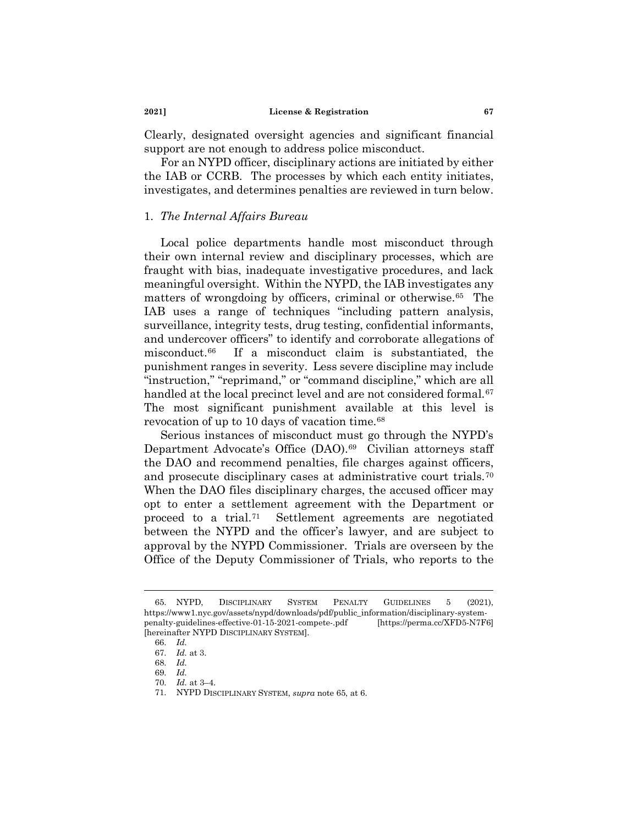Clearly, designated oversight agencies and significant financial support are not enough to address police misconduct.

For an NYPD officer, disciplinary actions are initiated by either the IAB or CCRB. The processes by which each entity initiates, investigates, and determines penalties are reviewed in turn below.

# 1. *The Internal Affairs Bureau*

Local police departments handle most misconduct through their own internal review and disciplinary processes, which are fraught with bias, inadequate investigative procedures, and lack meaningful oversight. Within the NYPD, the IAB investigates any matters of wrongdoing by officers, criminal or otherwise.<sup>65</sup> The IAB uses a range of techniques "including pattern analysis, surveillance, integrity tests, drug testing, confidential informants, and undercover officers" to identify and corroborate allegations of misconduct[.66](#page-10-1) If a misconduct claim is substantiated, the punishment ranges in severity. Less severe discipline may include "instruction," "reprimand," or "command discipline," which are all handled at the local precinct level and are not considered formal.<sup>67</sup> The most significant punishment available at this level is revocation of up to 10 days of vacation time.[68](#page-10-3)

Serious instances of misconduct must go through the NYPD's Department Advocate's Office (DAO).<sup>[69](#page-10-4)</sup> Civilian attorneys staff the DAO and recommend penalties, file charges against officers, and prosecute disciplinary cases at administrative court trials.[70](#page-10-5)  When the DAO files disciplinary charges, the accused officer may opt to enter a settlement agreement with the Department or proceed to a trial.[71](#page-10-6) Settlement agreements are negotiated between the NYPD and the officer's lawyer, and are subject to approval by the NYPD Commissioner. Trials are overseen by the Office of the Deputy Commissioner of Trials, who reports to the

<span id="page-10-2"></span><span id="page-10-1"></span><span id="page-10-0"></span><sup>65.</sup> NYPD, DISCIPLINARY SYSTEM PENALTY GUIDELINES 5 (2021), https://www1.nyc.gov/assets/nypd/downloads/pdf/public\_information/disciplinary-systempenalty-guidelines-effective-01-15-2021-compete-.pdf [https://perma.cc/XFD5-N7F6] [hereinafter NYPD DISCIPLINARY SYSTEM].

<span id="page-10-3"></span><sup>66.</sup> *Id.*

<sup>67.</sup> *Id.* at 3.

<sup>68.</sup> *Id.*

<sup>69.</sup> *Id.*

<span id="page-10-5"></span><span id="page-10-4"></span><sup>70.</sup> *Id.* at 3–4.

<span id="page-10-6"></span><sup>71.</sup> NYPD DISCIPLINARY SYSTEM, *supra* note 65, at 6.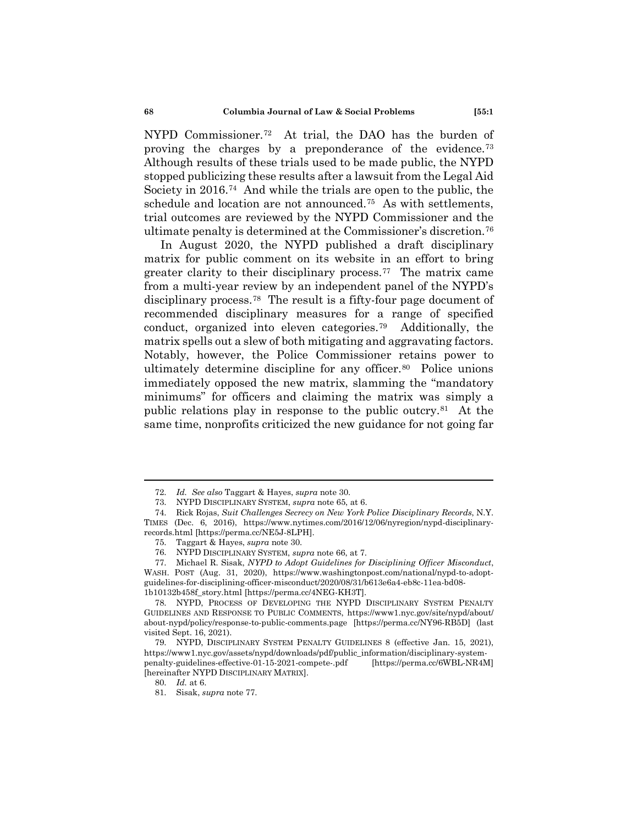NYPD Commissioner.[72](#page-11-0) At trial, the DAO has the burden of proving the charges by a preponderance of the evidence.[73](#page-11-1)  Although results of these trials used to be made public, the NYPD stopped publicizing these results after a lawsuit from the Legal Aid Society in 2016.[74](#page-11-2) And while the trials are open to the public, the schedule and location are not announced.[75](#page-11-3) As with settlements, trial outcomes are reviewed by the NYPD Commissioner and the ultimate penalty is determined at the Commissioner's discretion.[76](#page-11-4)

In August 2020, the NYPD published a draft disciplinary matrix for public comment on its website in an effort to bring greater clarity to their disciplinary process.[77](#page-11-5) The matrix came from a multi-year review by an independent panel of the NYPD's disciplinary process.[78](#page-11-6) The result is a fifty-four page document of recommended disciplinary measures for a range of specified conduct, organized into eleven categories.[79](#page-11-7) Additionally, the matrix spells out a slew of both mitigating and aggravating factors. Notably, however, the Police Commissioner retains power to ultimately determine discipline for any officer.<sup>80</sup> Police unions immediately opposed the new matrix, slamming the "mandatory minimums" for officers and claiming the matrix was simply a public relations play in response to the public outcry.[81](#page-11-9) At the same time, nonprofits criticized the new guidance for not going far

<sup>72.</sup> *Id. See also* Taggart & Hayes, *supra* note 30.

<sup>73.</sup> NYPD DISCIPLINARY SYSTEM, *supra* note 65, at 6.

<span id="page-11-2"></span><span id="page-11-1"></span><span id="page-11-0"></span><sup>74.</sup> Rick Rojas, *Suit Challenges Secrecy on New York Police Disciplinary Records*, N.Y. TIMES (Dec. 6, 2016), https://www.nytimes.com/2016/12/06/nyregion/nypd-disciplinaryrecords.html [https://perma.cc/NE5J-8LPH].

<sup>75.</sup> Taggart & Hayes, *supra* note 30.

<sup>76.</sup> NYPD DISCIPLINARY SYSTEM, *supra* note 66, at 7.

<span id="page-11-5"></span><span id="page-11-4"></span><span id="page-11-3"></span><sup>77.</sup> Michael R. Sisak, *NYPD to Adopt Guidelines for Disciplining Officer Misconduct*, WASH. POST (Aug. 31, 2020), https://www.washingtonpost.com/national/nypd-to-adoptguidelines-for-disciplining-officer-misconduct/2020/08/31/b613e6a4-eb8c-11ea-bd08- 1b10132b458f\_story.html [https://perma.cc/4NEG-KH3T].

<span id="page-11-6"></span><sup>78.</sup> NYPD, PROCESS OF DEVELOPING THE NYPD DISCIPLINARY SYSTEM PENALTY GUIDELINES AND RESPONSE TO PUBLIC COMMENTS, https://www1.nyc.gov/site/nypd/about/ about-nypd/policy/response-to-public-comments.page [https://perma.cc/NY96-RB5D] (last visited Sept. 16, 2021).

<span id="page-11-9"></span><span id="page-11-8"></span><span id="page-11-7"></span><sup>79.</sup> NYPD, DISCIPLINARY SYSTEM PENALTY GUIDELINES 8 (effective Jan. 15, 2021), https://www1.nyc.gov/assets/nypd/downloads/pdf/public\_information/disciplinary-systempenalty-guidelines-effective-01-15-2021-compete-.pdf [https://perma.cc/6WBL-NR4M] [hereinafter NYPD DISCIPLINARY MATRIX].

<sup>80.</sup> *Id.* at 6.

<sup>81.</sup> Sisak, *supra* note 77.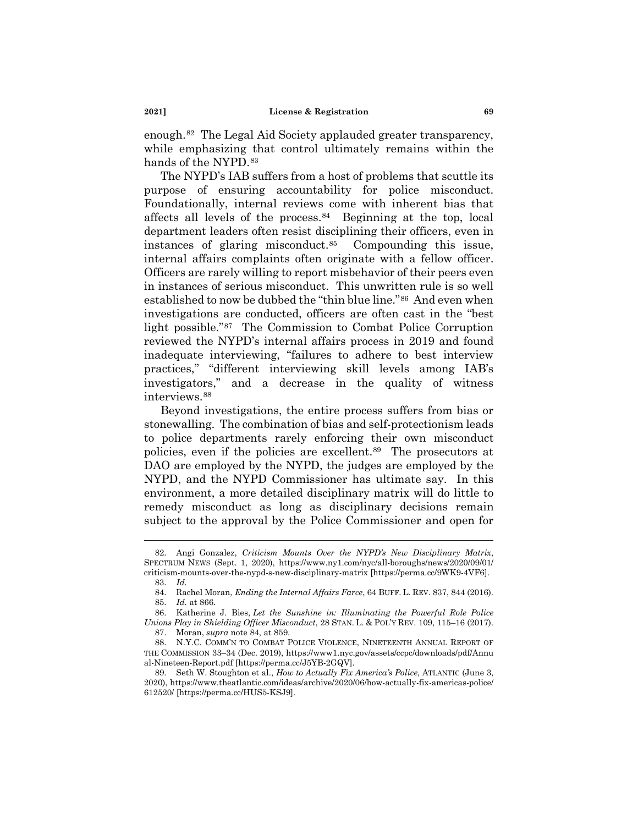enough.[82](#page-12-0) The Legal Aid Society applauded greater transparency, while emphasizing that control ultimately remains within the hands of the NYPD.<sup>[83](#page-12-1)</sup>

The NYPD's IAB suffers from a host of problems that scuttle its purpose of ensuring accountability for police misconduct. Foundationally, internal reviews come with inherent bias that affects all levels of the process. $84$  Beginning at the top, local department leaders often resist disciplining their officers, even in instances of glaring misconduct.[85](#page-12-3) Compounding this issue, internal affairs complaints often originate with a fellow officer. Officers are rarely willing to report misbehavior of their peers even in instances of serious misconduct. This unwritten rule is so well established to now be dubbed the "thin blue line."[86](#page-12-4) And even when investigations are conducted, officers are often cast in the "best light possible."[87](#page-12-5) The Commission to Combat Police Corruption reviewed the NYPD's internal affairs process in 2019 and found inadequate interviewing, "failures to adhere to best interview practices," "different interviewing skill levels among IAB's investigators," and a decrease in the quality of witness interviews.[88](#page-12-6)

Beyond investigations, the entire process suffers from bias or stonewalling. The combination of bias and self-protectionism leads to police departments rarely enforcing their own misconduct policies, even if the policies are excellent.[89](#page-12-7) The prosecutors at DAO are employed by the NYPD, the judges are employed by the NYPD, and the NYPD Commissioner has ultimate say. In this environment, a more detailed disciplinary matrix will do little to remedy misconduct as long as disciplinary decisions remain subject to the approval by the Police Commissioner and open for

<span id="page-12-1"></span><span id="page-12-0"></span><sup>82.</sup> Angi Gonzalez, *Criticism Mounts Over the NYPD's New Disciplinary Matrix*, SPECTRUM NEWS (Sept. 1, 2020), https://www.ny1.com/nyc/all-boroughs/news/2020/09/01/ criticism-mounts-over-the-nypd-s-new-disciplinary-matrix [https://perma.cc/9WK9-4VF6].

<sup>83.</sup> *Id.*

<sup>84.</sup> Rachel Moran, *Ending the Internal Affairs Farce*, 64 BUFF. L. REV. 837, 844 (2016). 85. *Id.* at 866.

<span id="page-12-4"></span><span id="page-12-3"></span><span id="page-12-2"></span><sup>86.</sup> Katherine J. Bies, *Let the Sunshine in: Illuminating the Powerful Role Police Unions Play in Shielding Officer Misconduct*, 28 STAN. L. & POL'Y REV. 109, 115–16 (2017). 87. Moran, *supra* note 84, at 859.

<span id="page-12-6"></span><span id="page-12-5"></span><sup>88.</sup> N.Y.C. COMM'N TO COMBAT POLICE VIOLENCE, NINETEENTH ANNUAL REPORT OF THE COMMISSION 33–34 (Dec. 2019), https://www1.nyc.gov/assets/ccpc/downloads/pdf/Annu al-Nineteen-Report.pdf [https://perma.cc/J5YB-2GQV].

<span id="page-12-7"></span><sup>89.</sup> Seth W. Stoughton et al., *How to Actually Fix America's Police*, ATLANTIC (June 3, 2020), https://www.theatlantic.com/ideas/archive/2020/06/how-actually-fix-americas-police/ 612520/ [https://perma.cc/HUS5-KSJ9].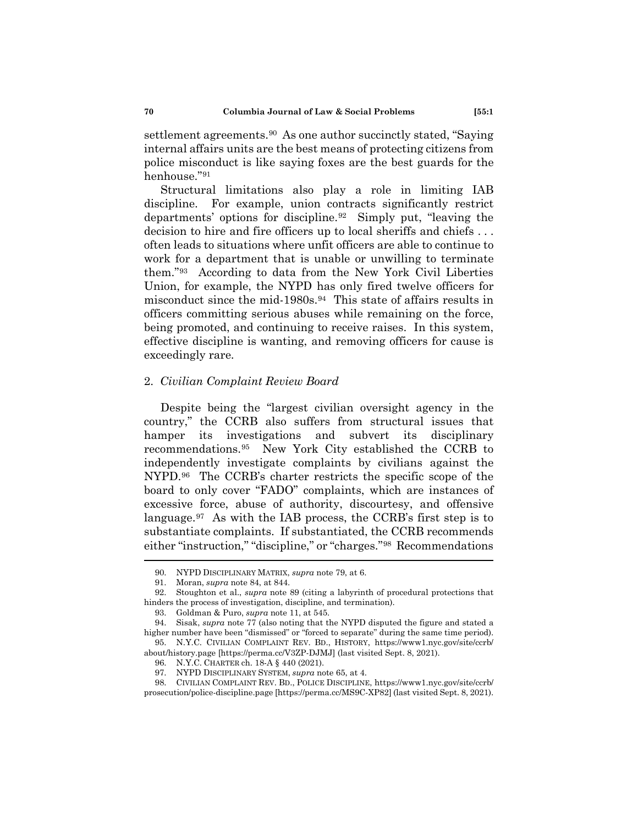settlement agreements.[90](#page-13-0) As one author succinctly stated, "Saying internal affairs units are the best means of protecting citizens from police misconduct is like saying foxes are the best guards for the henhouse."[91](#page-13-1)

Structural limitations also play a role in limiting IAB discipline. For example, union contracts significantly restrict departments' options for discipline.[92](#page-13-2) Simply put, "leaving the decision to hire and fire officers up to local sheriffs and chiefs . . . often leads to situations where unfit officers are able to continue to work for a department that is unable or unwilling to terminate them."[93](#page-13-3) According to data from the New York Civil Liberties Union, for example, the NYPD has only fired twelve officers for misconduct since the mid-1980s.<sup>94</sup> This state of affairs results in officers committing serious abuses while remaining on the force, being promoted, and continuing to receive raises. In this system, effective discipline is wanting, and removing officers for cause is exceedingly rare.

## 2. *Civilian Complaint Review Board*

Despite being the "largest civilian oversight agency in the country," the CCRB also suffers from structural issues that hamper its investigations and subvert its disciplinary recommendations.[95](#page-13-5) New York City established the CCRB to independently investigate complaints by civilians against the NYPD.[96](#page-13-6) The CCRB's charter restricts the specific scope of the board to only cover "FADO" complaints, which are instances of excessive force, abuse of authority, discourtesy, and offensive language.[97](#page-13-7) As with the IAB process, the CCRB's first step is to substantiate complaints. If substantiated, the CCRB recommends either "instruction," "discipline," or "charges."[98](#page-13-8) Recommendations

<sup>90.</sup> NYPD DISCIPLINARY MATRIX, *supra* note 79, at 6.

<sup>91.</sup> Moran, *supra* note 84, at 844.

<span id="page-13-2"></span><span id="page-13-1"></span><span id="page-13-0"></span><sup>92.</sup> Stoughton et al., *supra* note 89 (citing a labyrinth of procedural protections that hinders the process of investigation, discipline, and termination).

<sup>93.</sup> Goldman & Puro, *supra* note 11, at 545.

<span id="page-13-4"></span><span id="page-13-3"></span><sup>94.</sup> Sisak, *supra* note 77 (also noting that the NYPD disputed the figure and stated a higher number have been "dismissed" or "forced to separate" during the same time period). 95. N.Y.C. CIVILIAN COMPLAINT REV. BD., HISTORY, https://www1.nyc.gov/site/ccrb/

<span id="page-13-6"></span><span id="page-13-5"></span>about/history.page [https://perma.cc/V3ZP-DJMJ] (last visited Sept. 8, 2021).

<sup>96.</sup> N.Y.C. CHARTER ch. 18-A § 440 (2021).

<sup>97.</sup> NYPD DISCIPLINARY SYSTEM, *supra* note 65, at 4.

<span id="page-13-8"></span><span id="page-13-7"></span><sup>98.</sup> CIVILIAN COMPLAINT REV. BD., POLICE DISCIPLINE, https://www1.nyc.gov/site/ccrb/ prosecution/police-discipline.page [https://perma.cc/MS9C-XP82] (last visited Sept. 8, 2021).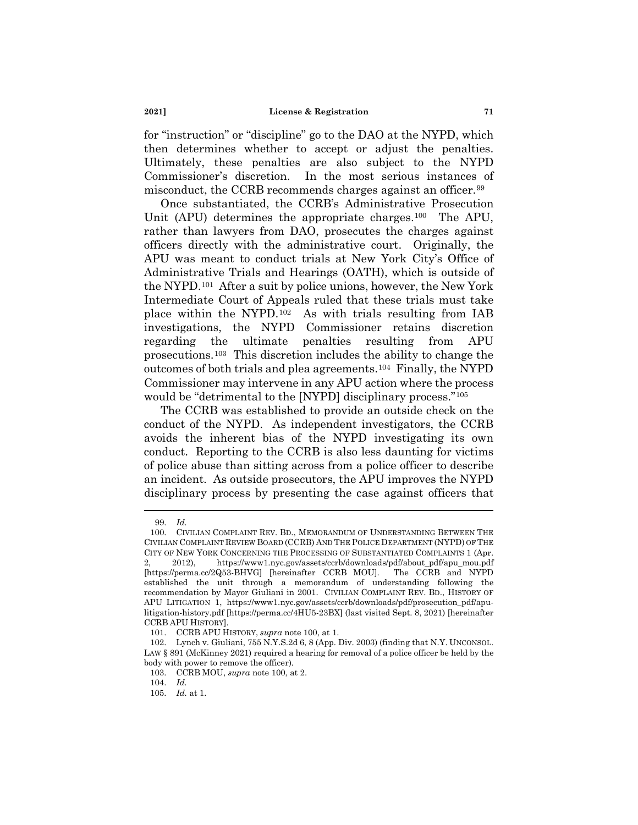for "instruction" or "discipline" go to the DAO at the NYPD, which then determines whether to accept or adjust the penalties. Ultimately, these penalties are also subject to the NYPD Commissioner's discretion. In the most serious instances of misconduct, the CCRB recommends charges against an officer.<sup>[99](#page-14-0)</sup>

Once substantiated, the CCRB's Administrative Prosecution Unit (APU) determines the appropriate charges.<sup>[100](#page-14-1)</sup> The APU, rather than lawyers from DAO, prosecutes the charges against officers directly with the administrative court. Originally, the APU was meant to conduct trials at New York City's Office of Administrative Trials and Hearings (OATH), which is outside of the NYPD[.101](#page-14-2) After a suit by police unions, however, the New York Intermediate Court of Appeals ruled that these trials must take place within the NYPD.[102](#page-14-3) As with trials resulting from IAB investigations, the NYPD Commissioner retains discretion regarding the ultimate penalties resulting from APU prosecutions.[103](#page-14-4) This discretion includes the ability to change the outcomes of both trials and plea agreements.[104](#page-14-5) Finally, the NYPD Commissioner may intervene in any APU action where the process would be "detrimental to the [NYPD] disciplinary process."[105](#page-14-6)

The CCRB was established to provide an outside check on the conduct of the NYPD. As independent investigators, the CCRB avoids the inherent bias of the NYPD investigating its own conduct. Reporting to the CCRB is also less daunting for victims of police abuse than sitting across from a police officer to describe an incident. As outside prosecutors, the APU improves the NYPD disciplinary process by presenting the case against officers that

<sup>99.</sup> *Id.*

<span id="page-14-1"></span><span id="page-14-0"></span><sup>100.</sup> CIVILIAN COMPLAINT REV. BD., MEMORANDUM OF UNDERSTANDING BETWEEN THE CIVILIAN COMPLAINT REVIEW BOARD (CCRB) AND THE POLICE DEPARTMENT (NYPD) OF THE CITY OF NEW YORK CONCERNING THE PROCESSING OF SUBSTANTIATED COMPLAINTS 1 (Apr. 2, 2012), https://www1.nyc.gov/assets/ccrb/downloads/pdf/about\_pdf/apu\_mou.pdf [https://perma.cc/2Q53-BHVG] [hereinafter CCRB MOU]. The CCRB and NYPD established the unit through a memorandum of understanding following the recommendation by Mayor Giuliani in 2001. CIVILIAN COMPLAINT REV. BD., HISTORY OF APU LITIGATION 1, https://www1.nyc.gov/assets/ccrb/downloads/pdf/prosecution\_pdf/apulitigation-history.pdf [https://perma.cc/4HU5-23BX] (last visited Sept. 8, 2021) [hereinafter

CCRB APU HISTORY].

<sup>101.</sup> CCRB APU HISTORY, *supra* note 100, at 1.

<span id="page-14-5"></span><span id="page-14-4"></span><span id="page-14-3"></span><span id="page-14-2"></span><sup>102.</sup> Lynch v. Giuliani, 755 N.Y.S.2d 6, 8 (App. Div. 2003) (finding that N.Y. UNCONSOL. LAW § 891 (McKinney 2021) required a hearing for removal of a police officer be held by the body with power to remove the officer).

<sup>103.</sup> CCRB MOU, *supra* note 100, at 2.

<sup>104.</sup> *Id.*

<span id="page-14-6"></span><sup>105.</sup> *Id.* at 1.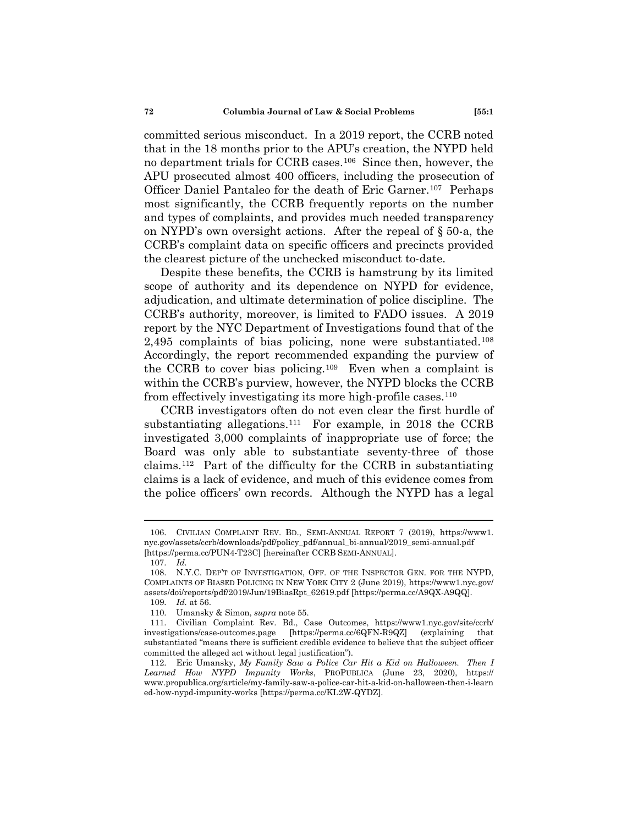committed serious misconduct. In a 2019 report, the CCRB noted that in the 18 months prior to the APU's creation, the NYPD held no department trials for CCRB cases.[106](#page-15-0) Since then, however, the APU prosecuted almost 400 officers, including the prosecution of Officer Daniel Pantaleo for the death of Eric Garner.[107](#page-15-1) Perhaps most significantly, the CCRB frequently reports on the number and types of complaints, and provides much needed transparency on NYPD's own oversight actions. After the repeal of § 50-a, the CCRB's complaint data on specific officers and precincts provided the clearest picture of the unchecked misconduct to-date.

Despite these benefits, the CCRB is hamstrung by its limited scope of authority and its dependence on NYPD for evidence, adjudication, and ultimate determination of police discipline. The CCRB's authority, moreover, is limited to FADO issues. A 2019 report by the NYC Department of Investigations found that of the 2,495 complaints of bias policing, none were substantiated.<sup>108</sup> Accordingly, the report recommended expanding the purview of the CCRB to cover bias policing.[109](#page-15-3) Even when a complaint is within the CCRB's purview, however, the NYPD blocks the CCRB from effectively investigating its more high-profile cases.<sup>[110](#page-15-4)</sup>

CCRB investigators often do not even clear the first hurdle of substantiating allegations.<sup>111</sup> For example, in 2018 the CCRB investigated 3,000 complaints of inappropriate use of force; the Board was only able to substantiate seventy-three of those claims.[112](#page-15-6) Part of the difficulty for the CCRB in substantiating claims is a lack of evidence, and much of this evidence comes from the police officers' own records. Although the NYPD has a legal

<span id="page-15-0"></span><sup>106.</sup> CIVILIAN COMPLAINT REV. BD., SEMI-ANNUAL REPORT 7 (2019), https://www1. nyc.gov/assets/ccrb/downloads/pdf/policy\_pdf/annual\_bi-annual/2019\_semi-annual.pdf [https://perma.cc/PUN4-T23C] [hereinafter CCRB SEMI-ANNUAL].

<sup>107.</sup> *Id.*

<span id="page-15-2"></span><span id="page-15-1"></span><sup>108.</sup> N.Y.C. DEP'T OF INVESTIGATION, OFF. OF THE INSPECTOR GEN. FOR THE NYPD, COMPLAINTS OF BIASED POLICING IN NEW YORK CITY 2 (June 2019), https://www1.nyc.gov/ assets/doi/reports/pdf/2019/Jun/19BiasRpt\_62619.pdf [https://perma.cc/A9QX-A9QQ].

<sup>109.</sup> *Id.* at 56.

<sup>110.</sup> Umansky & Simon, *supra* note 55.

<span id="page-15-5"></span><span id="page-15-4"></span><span id="page-15-3"></span><sup>111.</sup> Civilian Complaint Rev. Bd., Case Outcomes, https://www1.nyc.gov/site/ccrb/ investigations/case-outcomes.page [https://perma.cc/6QFN-R9QZ] (explaining that substantiated "means there is sufficient credible evidence to believe that the subject officer committed the alleged act without legal justification").

<span id="page-15-6"></span><sup>112.</sup> Eric Umansky, *My Family Saw a Police Car Hit a Kid on Halloween. Then I Learned How NYPD Impunity Works*, PROPUBLICA (June 23, 2020), https:// www.propublica.org/article/my-family-saw-a-police-car-hit-a-kid-on-halloween-then-i-learn ed-how-nypd-impunity-works [https://perma.cc/KL2W-QYDZ].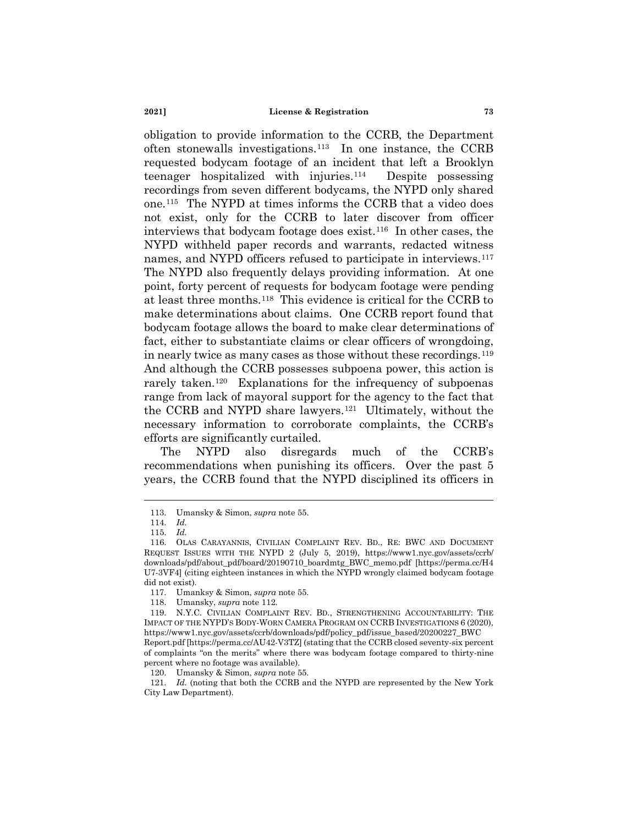obligation to provide information to the CCRB, the Department often stonewalls investigations.[113](#page-16-0) In one instance, the CCRB requested bodycam footage of an incident that left a Brooklyn teenager hospitalized with injuries.[114](#page-16-1) Despite possessing recordings from seven different bodycams, the NYPD only shared one[.115](#page-16-2) The NYPD at times informs the CCRB that a video does not exist, only for the CCRB to later discover from officer interviews that bodycam footage does exist.[116](#page-16-3) In other cases, the NYPD withheld paper records and warrants, redacted witness names, and NYPD officers refused to participate in interviews.<sup>117</sup> The NYPD also frequently delays providing information. At one point, forty percent of requests for bodycam footage were pending at least three months.[118](#page-16-5) This evidence is critical for the CCRB to make determinations about claims. One CCRB report found that bodycam footage allows the board to make clear determinations of fact, either to substantiate claims or clear officers of wrongdoing, in nearly twice as many cases as those without these recordings.[119](#page-16-6)  And although the CCRB possesses subpoena power, this action is rarely taken.<sup>[120](#page-16-7)</sup> Explanations for the infrequency of subpoenas range from lack of mayoral support for the agency to the fact that the CCRB and NYPD share lawyers.[121](#page-16-8) Ultimately, without the necessary information to corroborate complaints, the CCRB's efforts are significantly curtailed.

The NYPD also disregards much of the CCRB's recommendations when punishing its officers. Over the past 5 years, the CCRB found that the NYPD disciplined its officers in

<sup>113.</sup> Umansky & Simon, *supra* note 55.

<sup>114.</sup> *Id.*

<sup>115.</sup> *Id.*

<span id="page-16-3"></span><span id="page-16-2"></span><span id="page-16-1"></span><span id="page-16-0"></span><sup>116.</sup> OLAS CARAYANNIS, CIVILIAN COMPLAINT REV. BD., RE: BWC AND DOCUMENT REQUEST ISSUES WITH THE NYPD 2 (July 5, 2019), https://www1.nyc.gov/assets/ccrb/ downloads/pdf/about\_pdf/board/20190710\_boardmtg\_BWC\_memo.pdf [https://perma.cc/H4 U7-3VF4] (citing eighteen instances in which the NYPD wrongly claimed bodycam footage did not exist).

<sup>117.</sup> Umanksy & Simon, *supra* note 55.

<sup>118.</sup> Umansky, *supra* note 112.

<span id="page-16-6"></span><span id="page-16-5"></span><span id="page-16-4"></span><sup>119.</sup> N.Y.C. CIVILIAN COMPLAINT REV. BD., STRENGTHENING ACCOUNTABILITY: THE IMPACT OF THE NYPD'S BODY-WORN CAMERA PROGRAM ON CCRB INVESTIGATIONS 6 (2020), https://www1.nyc.gov/assets/ccrb/downloads/pdf/policy\_pdf/issue\_based/20200227\_BWC

Report.pdf [https://perma.cc/AU42-V3TZ] (stating that the CCRB closed seventy-six percent of complaints "on the merits" where there was bodycam footage compared to thirty-nine percent where no footage was available).

<sup>120.</sup> Umansky & Simon, *supra* note 55.

<span id="page-16-8"></span><span id="page-16-7"></span><sup>121.</sup> *Id.* (noting that both the CCRB and the NYPD are represented by the New York City Law Department).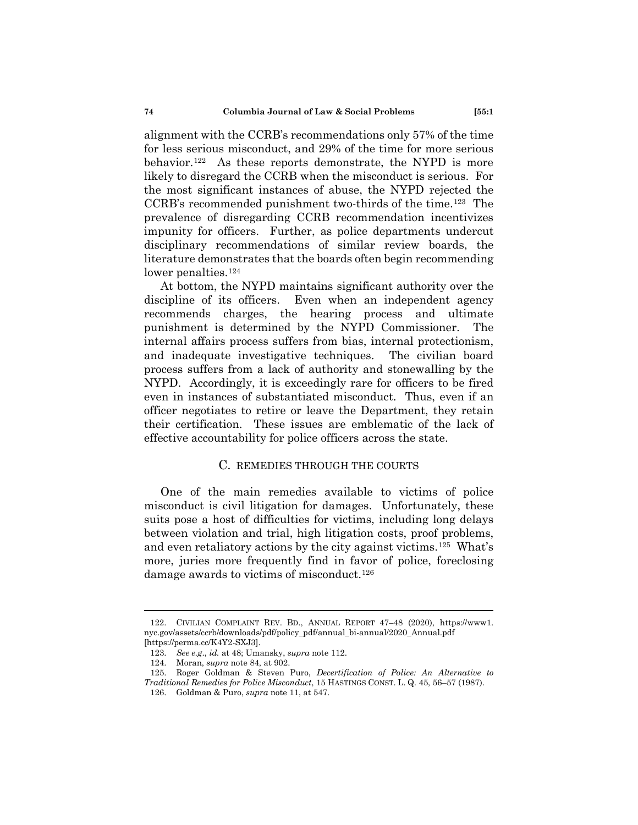alignment with the CCRB's recommendations only 57% of the time for less serious misconduct, and 29% of the time for more serious behavior.[122](#page-17-0) As these reports demonstrate, the NYPD is more likely to disregard the CCRB when the misconduct is serious. For the most significant instances of abuse, the NYPD rejected the CCRB's recommended punishment two-thirds of the time[.123](#page-17-1) The prevalence of disregarding CCRB recommendation incentivizes impunity for officers. Further, as police departments undercut disciplinary recommendations of similar review boards, the literature demonstrates that the boards often begin recommending lower penalties.<sup>[124](#page-17-2)</sup>

At bottom, the NYPD maintains significant authority over the discipline of its officers. Even when an independent agency recommends charges, the hearing process and ultimate punishment is determined by the NYPD Commissioner. The internal affairs process suffers from bias, internal protectionism, and inadequate investigative techniques. The civilian board process suffers from a lack of authority and stonewalling by the NYPD. Accordingly, it is exceedingly rare for officers to be fired even in instances of substantiated misconduct. Thus, even if an officer negotiates to retire or leave the Department, they retain their certification. These issues are emblematic of the lack of effective accountability for police officers across the state.

# C. REMEDIES THROUGH THE COURTS

One of the main remedies available to victims of police misconduct is civil litigation for damages. Unfortunately, these suits pose a host of difficulties for victims, including long delays between violation and trial, high litigation costs, proof problems, and even retaliatory actions by the city against victims.[125](#page-17-3) What's more, juries more frequently find in favor of police, foreclosing damage awards to victims of misconduct.<sup>126</sup>

<span id="page-17-0"></span><sup>122.</sup> CIVILIAN COMPLAINT REV. BD., ANNUAL REPORT 47–48 (2020), https://www1. nyc.gov/assets/ccrb/downloads/pdf/policy\_pdf/annual\_bi-annual/2020\_Annual.pdf [https://perma.cc/K4Y2-SXJ3].

<sup>123.</sup> *See e.g*., *id.* at 48; Umansky, *supra* note 112.

<sup>124.</sup> Moran, *supra* note 84, at 902.

<span id="page-17-4"></span><span id="page-17-3"></span><span id="page-17-2"></span><span id="page-17-1"></span><sup>125.</sup> Roger Goldman & Steven Puro, *Decertification of Police: An Alternative to Traditional Remedies for Police Misconduct*, 15 HASTINGS CONST. L. Q. 45, 56–57 (1987).

<sup>126.</sup> Goldman & Puro, *supra* note 11, at 547.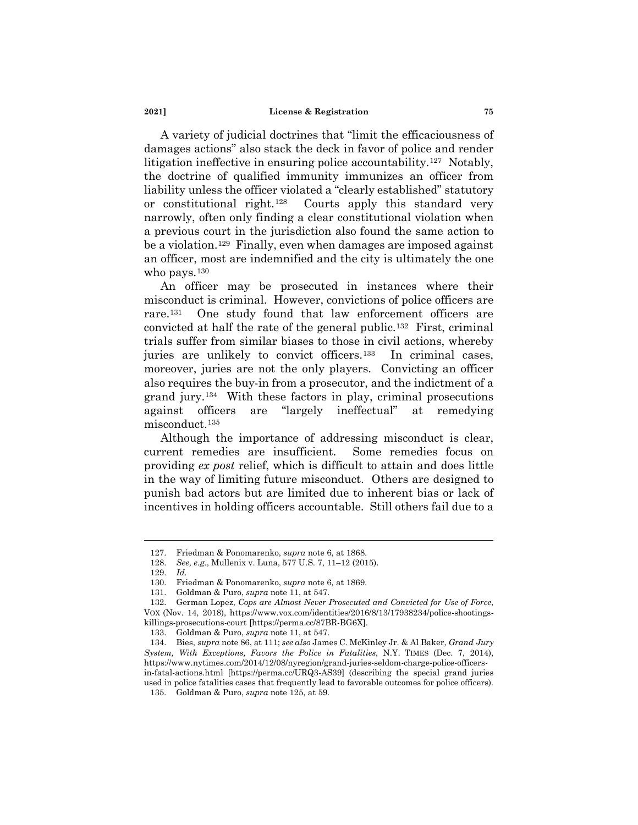A variety of judicial doctrines that "limit the efficaciousness of damages actions" also stack the deck in favor of police and render litigation ineffective in ensuring police accountability.[127](#page-18-0) Notably, the doctrine of qualified immunity immunizes an officer from liability unless the officer violated a "clearly established" statutory or constitutional right.[128](#page-18-1) Courts apply this standard very narrowly, often only finding a clear constitutional violation when a previous court in the jurisdiction also found the same action to be a violation.[129](#page-18-2) Finally, even when damages are imposed against an officer, most are indemnified and the city is ultimately the one who pays.<sup>[130](#page-18-3)</sup>

An officer may be prosecuted in instances where their misconduct is criminal. However, convictions of police officers are rare.[131](#page-18-4) One study found that law enforcement officers are convicted at half the rate of the general public.[132](#page-18-5) First, criminal trials suffer from similar biases to those in civil actions, whereby juries are unlikely to convict officers.<sup>133</sup> In criminal cases, moreover, juries are not the only players. Convicting an officer also requires the buy-in from a prosecutor, and the indictment of a grand jury.[134](#page-18-7) With these factors in play, criminal prosecutions against officers are "largely ineffectual" at remedying misconduct[.135](#page-18-8)

Although the importance of addressing misconduct is clear, current remedies are insufficient. Some remedies focus on providing *ex post* relief, which is difficult to attain and does little in the way of limiting future misconduct. Others are designed to punish bad actors but are limited due to inherent bias or lack of incentives in holding officers accountable. Still others fail due to a

<span id="page-18-0"></span><sup>127.</sup> Friedman & Ponomarenko, *supra* note 6, at 1868.

<sup>128.</sup> *See, e.g.*, Mullenix v. Luna, 577 U.S. 7, 11–12 (2015).

<sup>129.</sup> *Id.*

<sup>130.</sup> Friedman & Ponomarenko, *supra* note 6, at 1869.

<sup>131.</sup> Goldman & Puro, *supra* note 11, at 547.

<span id="page-18-5"></span><span id="page-18-4"></span><span id="page-18-3"></span><span id="page-18-2"></span><span id="page-18-1"></span><sup>132.</sup> German Lopez, *Cops are Almost Never Prosecuted and Convicted for Use of Force*, VOX (Nov. 14, 2018), https://www.vox.com/identities/2016/8/13/17938234/police-shootingskillings-prosecutions-court [https://perma.cc/87BR-BG6X].

<sup>133.</sup> Goldman & Puro, *supra* note 11, at 547.

<span id="page-18-8"></span><span id="page-18-7"></span><span id="page-18-6"></span><sup>134.</sup> Bies, *supra* note 86, at 111; *see also* James C. McKinley Jr. & Al Baker, *Grand Jury System, With Exceptions, Favors the Police in Fatalities*, N.Y. TIMES (Dec. 7, 2014), https://www.nytimes.com/2014/12/08/nyregion/grand-juries-seldom-charge-police-officersin-fatal-actions.html [https://perma.cc/URQ3-AS39] (describing the special grand juries used in police fatalities cases that frequently lead to favorable outcomes for police officers).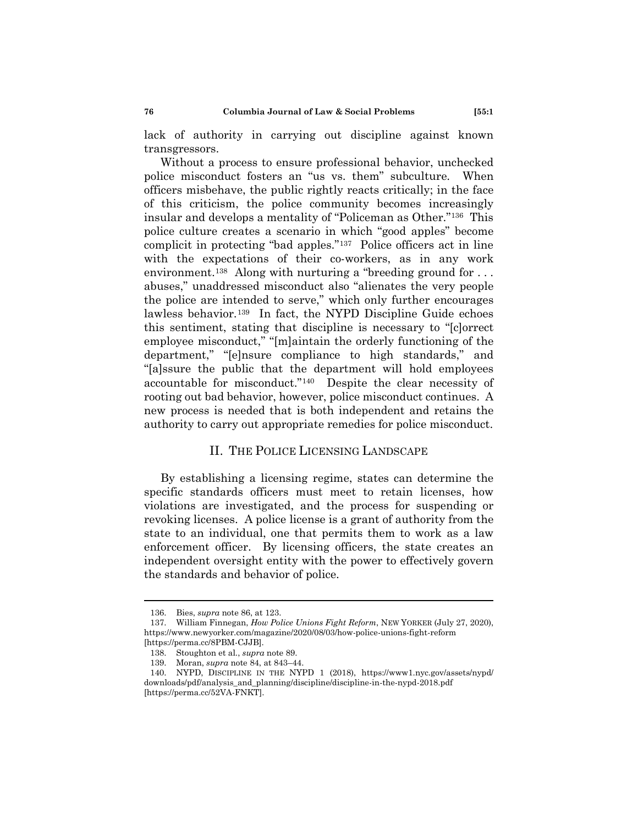lack of authority in carrying out discipline against known transgressors.

Without a process to ensure professional behavior, unchecked police misconduct fosters an "us vs. them" subculture. When officers misbehave, the public rightly reacts critically; in the face of this criticism, the police community becomes increasingly insular and develops a mentality of "Policeman as Other."[136](#page-19-0) This police culture creates a scenario in which "good apples" become complicit in protecting "bad apples."[137](#page-19-1) Police officers act in line with the expectations of their co-workers, as in any work environment.<sup>[138](#page-19-2)</sup> Along with nurturing a "breeding ground for  $\dots$ abuses," unaddressed misconduct also "alienates the very people the police are intended to serve," which only further encourages lawless behavior.<sup>139</sup> In fact, the NYPD Discipline Guide echoes this sentiment, stating that discipline is necessary to "[c]orrect employee misconduct," "[m]aintain the orderly functioning of the department," "[e]nsure compliance to high standards," and "[a]ssure the public that the department will hold employees accountable for misconduct."[140](#page-19-4) Despite the clear necessity of rooting out bad behavior, however, police misconduct continues. A new process is needed that is both independent and retains the authority to carry out appropriate remedies for police misconduct.

## II. THE POLICE LICENSING LANDSCAPE

By establishing a licensing regime, states can determine the specific standards officers must meet to retain licenses, how violations are investigated, and the process for suspending or revoking licenses. A police license is a grant of authority from the state to an individual, one that permits them to work as a law enforcement officer. By licensing officers, the state creates an independent oversight entity with the power to effectively govern the standards and behavior of police.

<sup>136.</sup> Bies, *supra* note 86, at 123.

<span id="page-19-1"></span><span id="page-19-0"></span><sup>137.</sup> William Finnegan, *How Police Unions Fight Reform*, NEW YORKER (July 27, 2020), https://www.newyorker.com/magazine/2020/08/03/how-police-unions-fight-reform [https://perma.cc/8PBM-CJJB].

<sup>138.</sup> Stoughton et al., *supra* note 89.

<sup>139.</sup> Moran, *supra* note 84, at 843–44.

<span id="page-19-4"></span><span id="page-19-3"></span><span id="page-19-2"></span><sup>140.</sup> NYPD, DISCIPLINE IN THE NYPD 1 (2018), https://www1.nyc.gov/assets/nypd/ downloads/pdf/analysis\_and\_planning/discipline/discipline-in-the-nypd-2018.pdf [https://perma.cc/52VA-FNKT].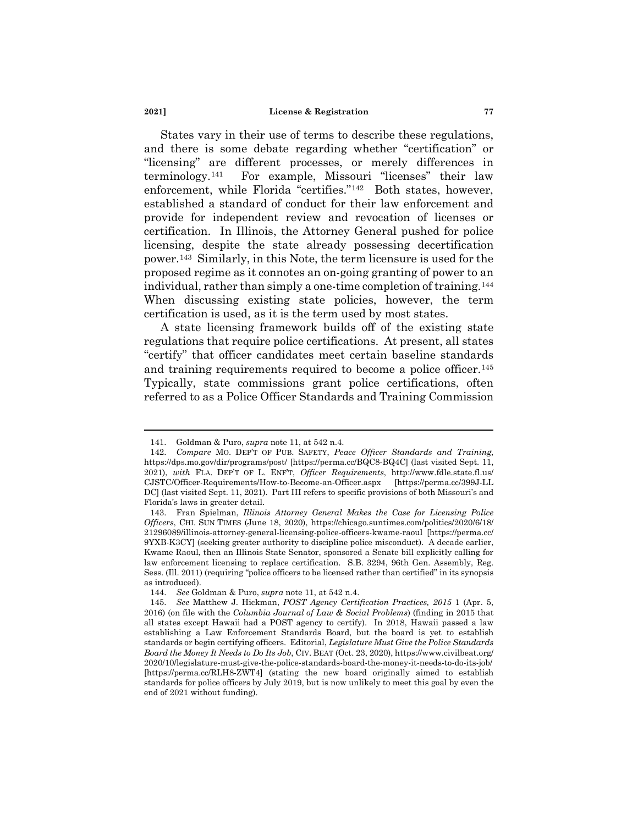States vary in their use of terms to describe these regulations, and there is some debate regarding whether "certification" or "licensing" are different processes, or merely differences in terminology.[141](#page-20-0) For example, Missouri "licenses" their law enforcement, while Florida "certifies."[142](#page-20-1) Both states, however, established a standard of conduct for their law enforcement and provide for independent review and revocation of licenses or certification. In Illinois, the Attorney General pushed for police licensing, despite the state already possessing decertification power.[143](#page-20-2) Similarly, in this Note, the term licensure is used for the proposed regime as it connotes an on-going granting of power to an individual, rather than simply a one-time completion of training.[144](#page-20-3)  When discussing existing state policies, however, the term certification is used, as it is the term used by most states.

A state licensing framework builds off of the existing state regulations that require police certifications. At present, all states "certify" that officer candidates meet certain baseline standards and training requirements required to become a police officer.<sup>145</sup> Typically, state commissions grant police certifications, often referred to as a Police Officer Standards and Training Commission

<sup>141.</sup> Goldman & Puro, *supra* note 11, at 542 n.4.

<span id="page-20-1"></span><span id="page-20-0"></span><sup>142.</sup> *Compare* MO. DEP'T OF PUB. SAFETY, *Peace Officer Standards and Training*, https://dps.mo.gov/dir/programs/post/ [https://perma.cc/BQC8-BQ4C] (last visited Sept. 11, 2021), *with* FLA. DEP'T OF L. ENF'T, *Officer Requirements*, http://www.fdle.state.fl.us/ CJSTC/Officer-Requirements/How-to-Become-an-Officer.aspx [https://perma.cc/399J-LL DC] (last visited Sept. 11, 2021). Part III refers to specific provisions of both Missouri's and Florida's laws in greater detail.

<span id="page-20-2"></span><sup>143.</sup> Fran Spielman, *Illinois Attorney General Makes the Case for Licensing Police Officers*, CHI. SUN TIMES (June 18, 2020), https://chicago.suntimes.com/politics/2020/6/18/ 21296089/illinois-attorney-general-licensing-police-officers-kwame-raoul [https://perma.cc/ 9YXB-K3CY] (seeking greater authority to discipline police misconduct). A decade earlier, Kwame Raoul, then an Illinois State Senator, sponsored a Senate bill explicitly calling for law enforcement licensing to replace certification. S.B. 3294, 96th Gen. Assembly, Reg. Sess. (Ill. 2011) (requiring "police officers to be licensed rather than certified" in its synopsis as introduced).

<sup>144.</sup> *See* Goldman & Puro, *supra* note 11, at 542 n.4.

<span id="page-20-4"></span><span id="page-20-3"></span><sup>145.</sup> *See* Matthew J. Hickman, *POST Agency Certification Practices, 2015* 1 (Apr. 5, 2016) (on file with the *Columbia Journal of Law & Social Problems*) (finding in 2015 that all states except Hawaii had a POST agency to certify). In 2018, Hawaii passed a law establishing a Law Enforcement Standards Board, but the board is yet to establish standards or begin certifying officers. Editorial, *Legislature Must Give the Police Standards Board the Money It Needs to Do Its Job*, CIV. BEAT (Oct. 23, 2020), https://www.civilbeat.org/ 2020/10/legislature-must-give-the-police-standards-board-the-money-it-needs-to-do-its-job/ [https://perma.cc/RLH8-ZWT4] (stating the new board originally aimed to establish standards for police officers by July 2019, but is now unlikely to meet this goal by even the end of 2021 without funding).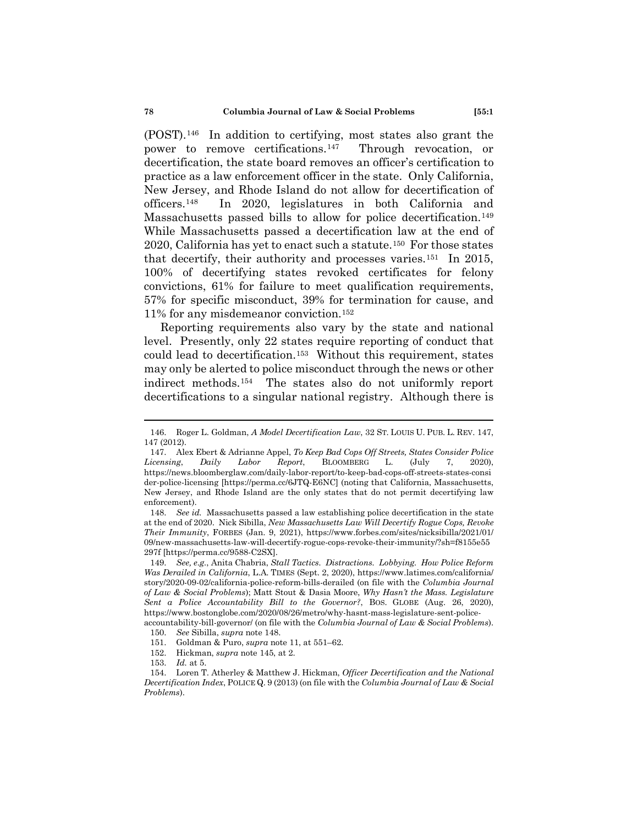(POST).[146](#page-21-0) In addition to certifying, most states also grant the power to remove certifications.[147](#page-21-1) Through revocation, or decertification, the state board removes an officer's certification to practice as a law enforcement officer in the state. Only California, New Jersey, and Rhode Island do not allow for decertification of officers[.148](#page-21-2) In 2020, legislatures in both California and Massachusetts passed bills to allow for police decertification.<sup>149</sup> While Massachusetts passed a decertification law at the end of 2020, California has yet to enact such a statute.[150](#page-21-4) For those states that decertify, their authority and processes varies.[151](#page-21-5) In 2015, 100% of decertifying states revoked certificates for felony convictions, 61% for failure to meet qualification requirements, 57% for specific misconduct, 39% for termination for cause, and 11% for any misdemeanor conviction.[152](#page-21-6)

Reporting requirements also vary by the state and national level. Presently, only 22 states require reporting of conduct that could lead to decertification.[153](#page-21-7) Without this requirement, states may only be alerted to police misconduct through the news or other indirect methods.[154](#page-21-8) The states also do not uniformly report decertifications to a singular national registry. Although there is

152. Hickman, *supra* note 145, at 2.

<span id="page-21-0"></span><sup>146.</sup> Roger L. Goldman, *A Model Decertification Law*, 32 ST. LOUIS U. PUB. L. REV. 147, 147 (2012).

<span id="page-21-1"></span><sup>147.</sup> Alex Ebert & Adrianne Appel, *To Keep Bad Cops Off Streets, States Consider Police Licensing*, *Daily Labor Report*, BLOOMBERG L. (July 7, 2020), https://news.bloomberglaw.com/daily-labor-report/to-keep-bad-cops-off-streets-states-consi der-police-licensing [https://perma.cc/6JTQ-E6NC] (noting that California, Massachusetts, New Jersey, and Rhode Island are the only states that do not permit decertifying law enforcement).

<span id="page-21-2"></span><sup>148.</sup> *See id.* Massachusetts passed a law establishing police decertification in the state at the end of 2020. Nick Sibilla, *New Massachusetts Law Will Decertify Rogue Cops, Revoke Their Immunity*, FORBES (Jan. 9, 2021), https://www.forbes.com/sites/nicksibilla/2021/01/ 09/new-massachusetts-law-will-decertify-rogue-cops-revoke-their-immunity/?sh=f8155e55 297f [https://perma.cc/9588-C2SX].

<span id="page-21-3"></span><sup>149.</sup> *See, e.g.*, Anita Chabria, *Stall Tactics. Distractions. Lobbying. How Police Reform Was Derailed in California*, L.A. TIMES (Sept. 2, 2020), https://www.latimes.com/california/ story/2020-09-02/california-police-reform-bills-derailed (on file with the *Columbia Journal of Law & Social Problems*); Matt Stout & Dasia Moore, *Why Hasn't the Mass. Legislature Sent a Police Accountability Bill to the Governor?*, BOS. GLOBE (Aug. 26, 2020), https://www.bostonglobe.com/2020/08/26/metro/why-hasnt-mass-legislature-sent-policeaccountability-bill-governor/ (on file with the *Columbia Journal of Law & Social Problems*).

<sup>150.</sup> *See* Sibilla, *supra* note 148.

<sup>151.</sup> Goldman & Puro, *supra* note 11, at 551–62.

<sup>153.</sup> *Id.* at 5.

<span id="page-21-8"></span><span id="page-21-7"></span><span id="page-21-6"></span><span id="page-21-5"></span><span id="page-21-4"></span><sup>154.</sup> Loren T. Atherley & Matthew J. Hickman, *Officer Decertification and the National Decertification Index*, POLICE Q. 9 (2013) (on file with the *Columbia Journal of Law & Social Problems*).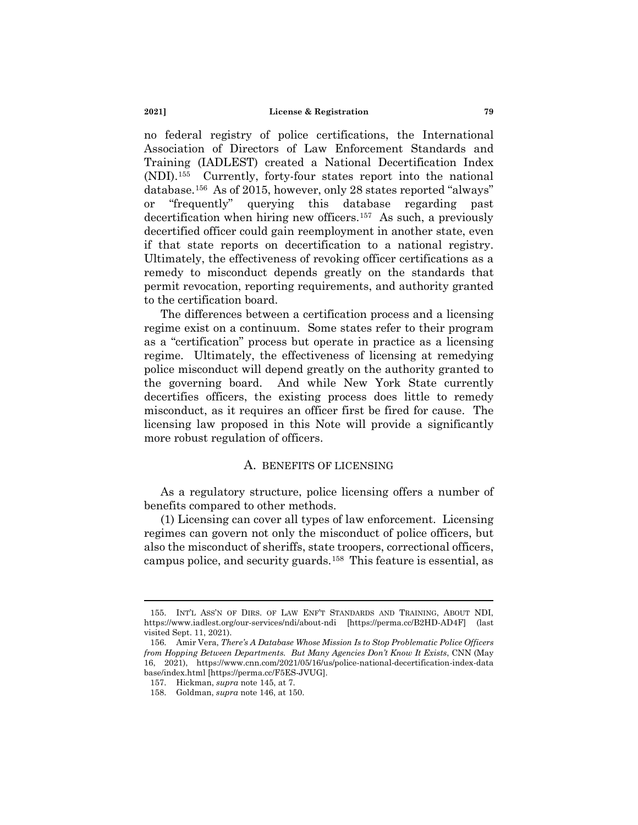no federal registry of police certifications, the International Association of Directors of Law Enforcement Standards and Training (IADLEST) created a National Decertification Index (NDI).[155](#page-22-0) Currently, forty-four states report into the national database[.156](#page-22-1) As of 2015, however, only 28 states reported "always" or "frequently" querying this database regarding past decertification when hiring new officers.[157](#page-22-2) As such, a previously decertified officer could gain reemployment in another state, even if that state reports on decertification to a national registry. Ultimately, the effectiveness of revoking officer certifications as a remedy to misconduct depends greatly on the standards that permit revocation, reporting requirements, and authority granted to the certification board.

The differences between a certification process and a licensing regime exist on a continuum. Some states refer to their program as a "certification" process but operate in practice as a licensing regime. Ultimately, the effectiveness of licensing at remedying police misconduct will depend greatly on the authority granted to the governing board. And while New York State currently decertifies officers, the existing process does little to remedy misconduct, as it requires an officer first be fired for cause. The licensing law proposed in this Note will provide a significantly more robust regulation of officers.

# A. BENEFITS OF LICENSING

As a regulatory structure, police licensing offers a number of benefits compared to other methods.

(1) Licensing can cover all types of law enforcement. Licensing regimes can govern not only the misconduct of police officers, but also the misconduct of sheriffs, state troopers, correctional officers, campus police, and security guards.[158](#page-22-3) This feature is essential, as

<span id="page-22-0"></span><sup>155.</sup> INT'L ASS'N OF DIRS. OF LAW ENF'T STANDARDS AND TRAINING, ABOUT NDI, https://www.iadlest.org/our-services/ndi/about-ndi [https://perma.cc/B2HD-AD4F] (last visited Sept. 11, 2021).

<span id="page-22-2"></span><span id="page-22-1"></span><sup>156.</sup> Amir Vera, *There's A Database Whose Mission Is to Stop Problematic Police Officers from Hopping Between Departments. But Many Agencies Don't Know It Exists*, CNN (May 16, 2021), https://www.cnn.com/2021/05/16/us/police-national-decertification-index-data base/index.html [https://perma.cc/F5ES-JVUG].

<span id="page-22-3"></span><sup>157.</sup> Hickman, *supra* note 145, at 7.

<sup>158.</sup> Goldman, *supra* note 146, at 150.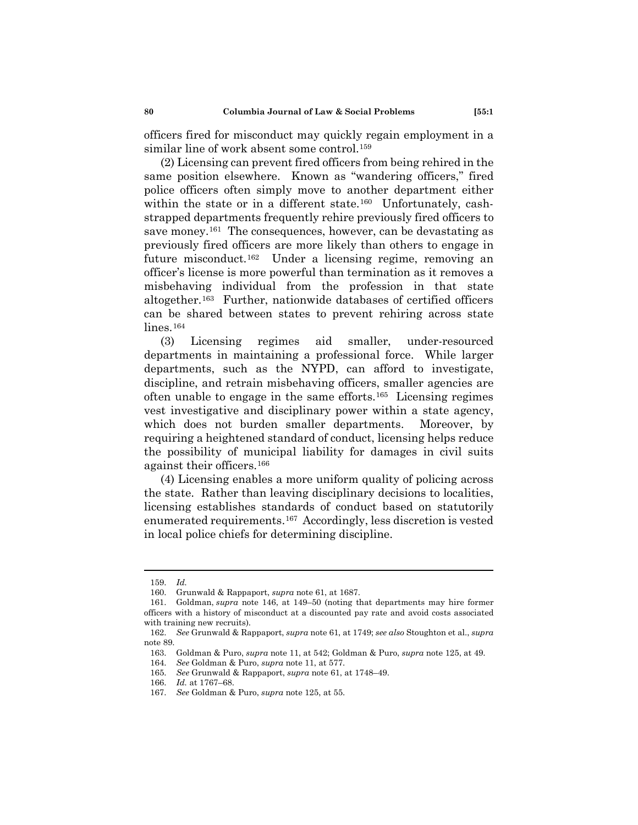officers fired for misconduct may quickly regain employment in a similar line of work absent some control.<sup>[159](#page-23-0)</sup>

(2) Licensing can prevent fired officers from being rehired in the same position elsewhere. Known as "wandering officers," fired police officers often simply move to another department either within the state or in a different state.<sup>[160](#page-23-1)</sup> Unfortunately, cashstrapped departments frequently rehire previously fired officers to save money.<sup>[161](#page-23-2)</sup> The consequences, however, can be devastating as previously fired officers are more likely than others to engage in future misconduct.[162](#page-23-3) Under a licensing regime, removing an officer's license is more powerful than termination as it removes a misbehaving individual from the profession in that state altogether.[163](#page-23-4) Further, nationwide databases of certified officers can be shared between states to prevent rehiring across state lines.<sup>[164](#page-23-5)</sup>

(3) Licensing regimes aid smaller, under-resourced departments in maintaining a professional force. While larger departments, such as the NYPD, can afford to investigate, discipline, and retrain misbehaving officers, smaller agencies are often unable to engage in the same efforts.[165](#page-23-6) Licensing regimes vest investigative and disciplinary power within a state agency, which does not burden smaller departments. Moreover, by requiring a heightened standard of conduct, licensing helps reduce the possibility of municipal liability for damages in civil suits against their officers.[166](#page-23-7)

(4) Licensing enables a more uniform quality of policing across the state. Rather than leaving disciplinary decisions to localities, licensing establishes standards of conduct based on statutorily enumerated requirements.[167](#page-23-8) Accordingly, less discretion is vested in local police chiefs for determining discipline.

<sup>159.</sup> *Id.*

<sup>160.</sup> Grunwald & Rappaport, *supra* note 61, at 1687.

<span id="page-23-2"></span><span id="page-23-1"></span><span id="page-23-0"></span><sup>161.</sup> Goldman, *supra* note 146, at 149–50 (noting that departments may hire former officers with a history of misconduct at a discounted pay rate and avoid costs associated with training new recruits).

<span id="page-23-6"></span><span id="page-23-5"></span><span id="page-23-4"></span><span id="page-23-3"></span><sup>162.</sup> *See* Grunwald & Rappaport, *supra* note 61, at 1749; *see also* Stoughton et al., *supra* note 89.

<sup>163.</sup> Goldman & Puro, *supra* note 11, at 542; Goldman & Puro, *supra* note 125, at 49.

<sup>164.</sup> *See* Goldman & Puro, *supra* note 11, at 577.

<sup>165.</sup> *See* Grunwald & Rappaport, *supra* note 61, at 1748–49.

<span id="page-23-7"></span><sup>166.</sup> *Id.* at 1767–68.

<span id="page-23-8"></span><sup>167.</sup> *See* Goldman & Puro, *supra* note 125, at 55.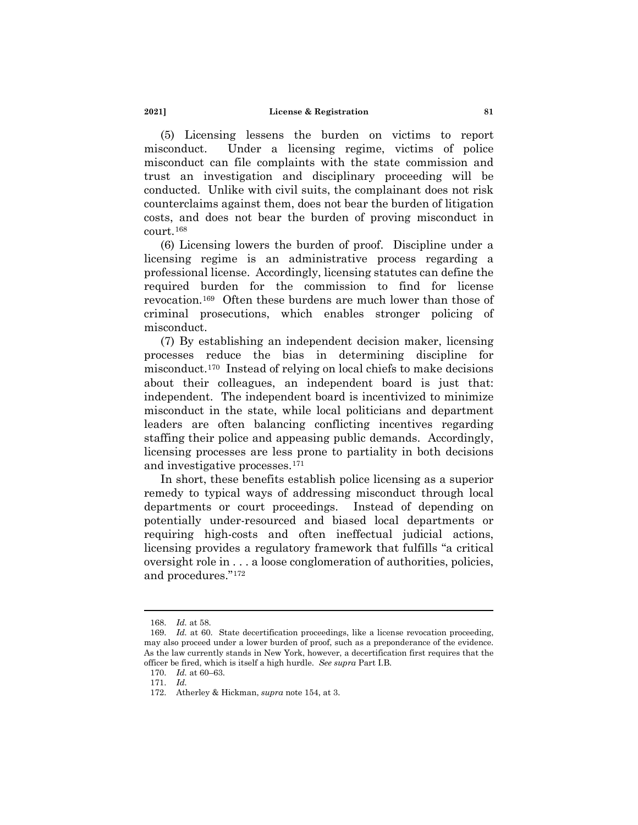(5) Licensing lessens the burden on victims to report misconduct. Under a licensing regime, victims of police misconduct can file complaints with the state commission and trust an investigation and disciplinary proceeding will be conducted. Unlike with civil suits, the complainant does not risk counterclaims against them, does not bear the burden of litigation costs, and does not bear the burden of proving misconduct in court.[168](#page-24-0)

(6) Licensing lowers the burden of proof. Discipline under a licensing regime is an administrative process regarding a professional license. Accordingly, licensing statutes can define the required burden for the commission to find for license revocation.[169](#page-24-1) Often these burdens are much lower than those of criminal prosecutions, which enables stronger policing of misconduct.

(7) By establishing an independent decision maker, licensing processes reduce the bias in determining discipline for misconduct[.170](#page-24-2) Instead of relying on local chiefs to make decisions about their colleagues, an independent board is just that: independent. The independent board is incentivized to minimize misconduct in the state, while local politicians and department leaders are often balancing conflicting incentives regarding staffing their police and appeasing public demands. Accordingly, licensing processes are less prone to partiality in both decisions and investigative processes.[171](#page-24-3)

In short, these benefits establish police licensing as a superior remedy to typical ways of addressing misconduct through local departments or court proceedings. Instead of depending on potentially under-resourced and biased local departments or requiring high-costs and often ineffectual judicial actions, licensing provides a regulatory framework that fulfills "a critical oversight role in . . . a loose conglomeration of authorities, policies, and procedures."[172](#page-24-4)

<sup>168.</sup> *Id.* at 58.

<span id="page-24-2"></span><span id="page-24-1"></span><span id="page-24-0"></span><sup>169.</sup> *Id.* at 60. State decertification proceedings, like a license revocation proceeding, may also proceed under a lower burden of proof, such as a preponderance of the evidence. As the law currently stands in New York, however, a decertification first requires that the officer be fired, which is itself a high hurdle. *See supra* Part I.B.

<span id="page-24-3"></span><sup>170.</sup> *Id.* at 60–63.

<span id="page-24-4"></span><sup>171.</sup> *Id.*

<sup>172.</sup> Atherley & Hickman, *supra* note 154, at 3.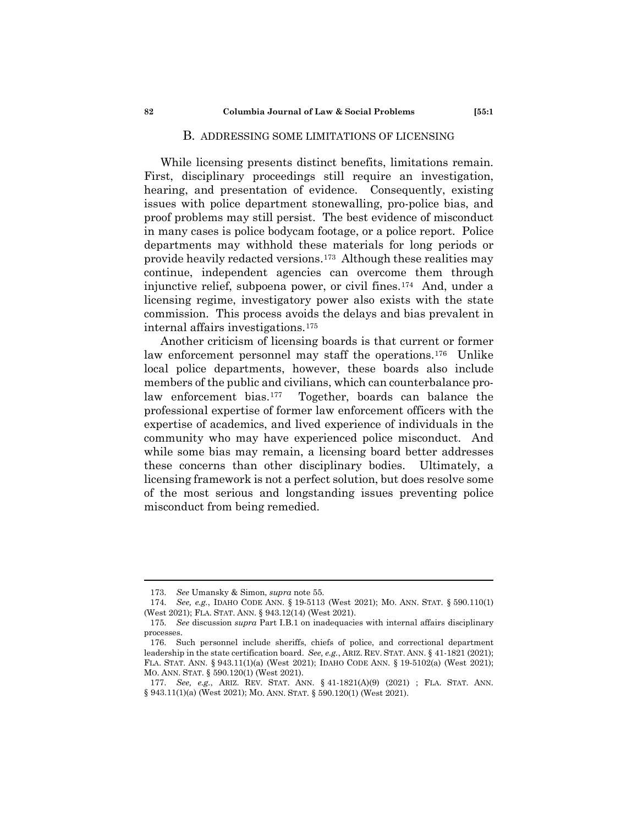### B. ADDRESSING SOME LIMITATIONS OF LICENSING

While licensing presents distinct benefits, limitations remain. First, disciplinary proceedings still require an investigation, hearing, and presentation of evidence. Consequently, existing issues with police department stonewalling, pro-police bias, and proof problems may still persist. The best evidence of misconduct in many cases is police bodycam footage, or a police report. Police departments may withhold these materials for long periods or provide heavily redacted versions.[173](#page-25-0) Although these realities may continue, independent agencies can overcome them through injunctive relief, subpoena power, or civil fines.[174](#page-25-1) And, under a licensing regime, investigatory power also exists with the state commission. This process avoids the delays and bias prevalent in internal affairs investigations.[175](#page-25-2)

Another criticism of licensing boards is that current or former law enforcement personnel may staff the operations.[176](#page-25-3) Unlike local police departments, however, these boards also include members of the public and civilians, which can counterbalance prolaw enforcement bias.[177](#page-25-4) Together, boards can balance the professional expertise of former law enforcement officers with the expertise of academics, and lived experience of individuals in the community who may have experienced police misconduct. And while some bias may remain, a licensing board better addresses these concerns than other disciplinary bodies. Ultimately, a licensing framework is not a perfect solution, but does resolve some of the most serious and longstanding issues preventing police misconduct from being remedied.

<sup>173.</sup> *See* Umansky & Simon, *supra* note 55.

<span id="page-25-0"></span><sup>174.</sup> *See, e.g.*, IDAHO CODE ANN. § 19-5113 (West 2021); MO. ANN. STAT. § 590.110(1) (West 2021); FLA. STAT. ANN. § 943.12(14) (West 2021).

<span id="page-25-2"></span><span id="page-25-1"></span><sup>175.</sup> *See* discussion *supra* Part I.B.1 on inadequacies with internal affairs disciplinary processes.

<span id="page-25-3"></span><sup>176.</sup> Such personnel include sheriffs, chiefs of police, and correctional department leadership in the state certification board. *See, e.g.*, ARIZ. REV. STAT. ANN. § 41-1821 (2021); FLA. STAT. ANN. § 943.11(1)(a) (West 2021); IDAHO CODE ANN. § 19-5102(a) (West 2021); MO. ANN. STAT. § 590.120(1) (West 2021).

<span id="page-25-4"></span><sup>177.</sup> *See, e.g.*, ARIZ. REV. STAT. ANN. § 41-1821(A)(9) (2021) ; FLA. STAT. ANN. § 943.11(1)(a) (West 2021); MO. ANN. STAT. § 590.120(1) (West 2021).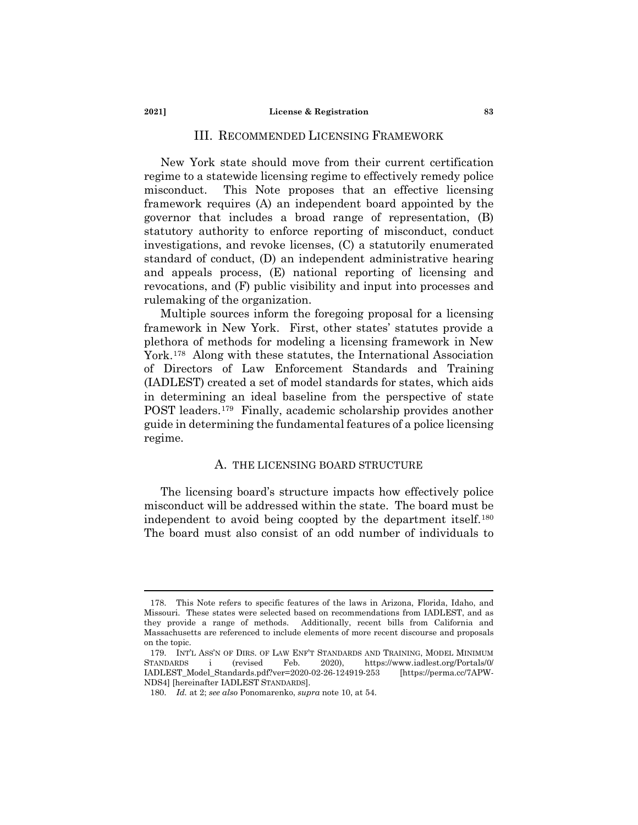# III. RECOMMENDED LICENSING FRAMEWORK

New York state should move from their current certification regime to a statewide licensing regime to effectively remedy police misconduct. This Note proposes that an effective licensing framework requires (A) an independent board appointed by the governor that includes a broad range of representation, (B) statutory authority to enforce reporting of misconduct, conduct investigations, and revoke licenses, (C) a statutorily enumerated standard of conduct, (D) an independent administrative hearing and appeals process, (E) national reporting of licensing and revocations, and (F) public visibility and input into processes and rulemaking of the organization.

Multiple sources inform the foregoing proposal for a licensing framework in New York. First, other states' statutes provide a plethora of methods for modeling a licensing framework in New York[.178](#page-26-0) Along with these statutes, the International Association of Directors of Law Enforcement Standards and Training (IADLEST) created a set of model standards for states, which aids in determining an ideal baseline from the perspective of state POST leaders.[179](#page-26-1) Finally, academic scholarship provides another guide in determining the fundamental features of a police licensing regime.

# A. THE LICENSING BOARD STRUCTURE

The licensing board's structure impacts how effectively police misconduct will be addressed within the state. The board must be independent to avoid being coopted by the department itself.[180](#page-26-2)  The board must also consist of an odd number of individuals to

<span id="page-26-0"></span><sup>178.</sup> This Note refers to specific features of the laws in Arizona, Florida, Idaho, and Missouri. These states were selected based on recommendations from IADLEST, and as they provide a range of methods. Additionally, recent bills from California and Massachusetts are referenced to include elements of more recent discourse and proposals on the topic.

<span id="page-26-2"></span><span id="page-26-1"></span><sup>179.</sup> INT'L ASS'N OF DIRS. OF LAW ENF'T STANDARDS AND TRAINING, MODEL MINIMUM STANDARDS i (revised Feb. 2020), https://www.iadlest.org/Portals/0/ IADLEST\_Model\_Standards.pdf?ver=2020-02-26-124919-253 [https://perma.cc/7APW-NDS4] [hereinafter IADLEST STANDARDS].

<sup>180.</sup> *Id.* at 2; *see also* Ponomarenko, *supra* note 10, at 54.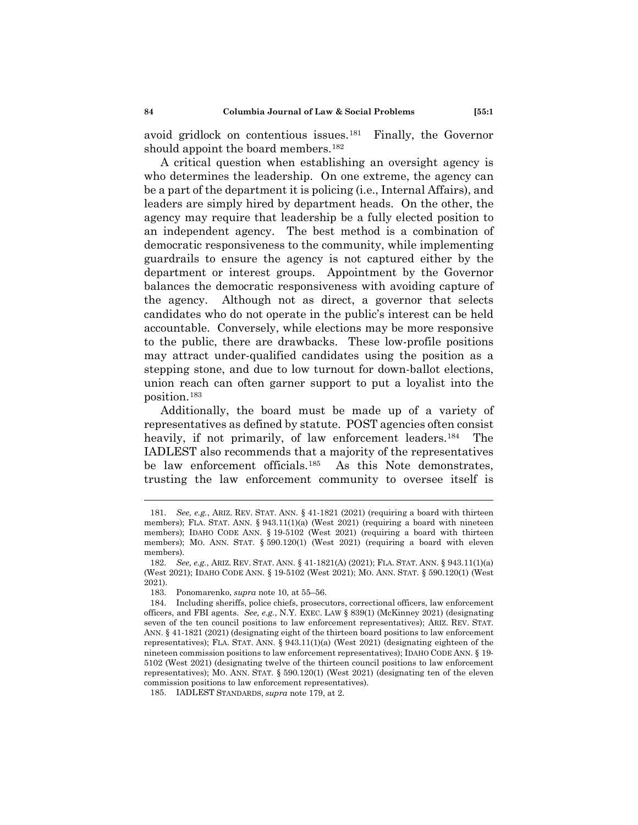avoid gridlock on contentious issues.[181](#page-27-0) Finally, the Governor should appoint the board members.<sup>[182](#page-27-1)</sup>

A critical question when establishing an oversight agency is who determines the leadership. On one extreme, the agency can be a part of the department it is policing (i.e., Internal Affairs), and leaders are simply hired by department heads. On the other, the agency may require that leadership be a fully elected position to an independent agency. The best method is a combination of democratic responsiveness to the community, while implementing guardrails to ensure the agency is not captured either by the department or interest groups. Appointment by the Governor balances the democratic responsiveness with avoiding capture of the agency. Although not as direct, a governor that selects candidates who do not operate in the public's interest can be held accountable. Conversely, while elections may be more responsive to the public, there are drawbacks. These low-profile positions may attract under-qualified candidates using the position as a stepping stone, and due to low turnout for down-ballot elections, union reach can often garner support to put a loyalist into the position.[183](#page-27-2)

Additionally, the board must be made up of a variety of representatives as defined by statute. POST agencies often consist heavily, if not primarily, of law enforcement leaders.<sup>184</sup> The IADLEST also recommends that a majority of the representatives be law enforcement officials.[185](#page-27-4) As this Note demonstrates, trusting the law enforcement community to oversee itself is

<span id="page-27-0"></span><sup>181.</sup> *See, e.g.*, ARIZ. REV. STAT. ANN. § 41-1821 (2021) (requiring a board with thirteen members); FLA. STAT. ANN.  $\S 943.11(1)(a)$  (West 2021) (requiring a board with nineteen members); IDAHO CODE ANN. § 19-5102 (West 2021) (requiring a board with thirteen members); MO. ANN. STAT. § 590.120(1) (West 2021) (requiring a board with eleven members).

<span id="page-27-1"></span><sup>182.</sup> *See, e.g.*, ARIZ. REV. STAT. ANN. § 41-1821(A) (2021); FLA. STAT. ANN. § 943.11(1)(a) (West 2021); IDAHO CODE ANN. § 19-5102 (West 2021); MO. ANN. STAT. § 590.120(1) (West 2021).

<sup>183.</sup> Ponomarenko, *supra* note 10, at 55–56.

<span id="page-27-3"></span><span id="page-27-2"></span><sup>184.</sup> Including sheriffs, police chiefs, prosecutors, correctional officers, law enforcement officers, and FBI agents. *See, e.g.*, N.Y. EXEC. LAW § 839(1) (McKinney 2021) (designating seven of the ten council positions to law enforcement representatives); ARIZ. REV. STAT. ANN. § 41-1821 (2021) (designating eight of the thirteen board positions to law enforcement representatives); FLA. STAT. ANN. § 943.11(1)(a) (West 2021) (designating eighteen of the nineteen commission positions to law enforcement representatives); IDAHO CODE ANN. § 19- 5102 (West 2021) (designating twelve of the thirteen council positions to law enforcement representatives); MO. ANN. STAT. § 590.120(1) (West 2021) (designating ten of the eleven commission positions to law enforcement representatives).

<span id="page-27-4"></span><sup>185.</sup> IADLEST STANDARDS, *supra* note 179, at 2.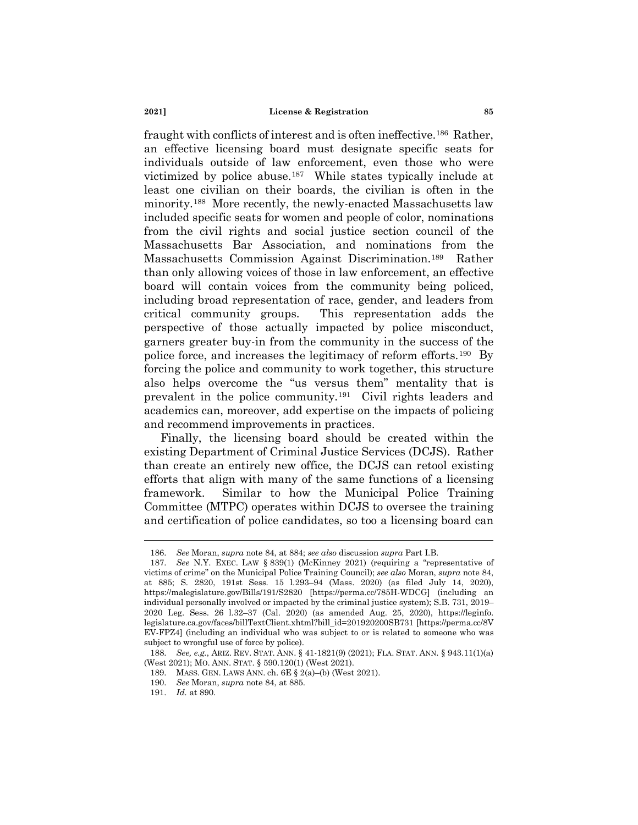fraught with conflicts of interest and is often ineffective.[186](#page-28-0) Rather, an effective licensing board must designate specific seats for individuals outside of law enforcement, even those who were victimized by police abuse.[187](#page-28-1) While states typically include at least one civilian on their boards, the civilian is often in the minority.[188](#page-28-2) More recently, the newly-enacted Massachusetts law included specific seats for women and people of color, nominations from the civil rights and social justice section council of the Massachusetts Bar Association, and nominations from the Massachusetts Commission Against Discrimination.[189](#page-28-3) Rather than only allowing voices of those in law enforcement, an effective board will contain voices from the community being policed, including broad representation of race, gender, and leaders from critical community groups. This representation adds the perspective of those actually impacted by police misconduct, garners greater buy-in from the community in the success of the police force, and increases the legitimacy of reform efforts.[190](#page-28-4) By forcing the police and community to work together, this structure also helps overcome the "us versus them" mentality that is prevalent in the police community.[191](#page-28-5) Civil rights leaders and academics can, moreover, add expertise on the impacts of policing and recommend improvements in practices.

Finally, the licensing board should be created within the existing Department of Criminal Justice Services (DCJS). Rather than create an entirely new office, the DCJS can retool existing efforts that align with many of the same functions of a licensing framework. Similar to how the Municipal Police Training Committee (MTPC) operates within DCJS to oversee the training and certification of police candidates, so too a licensing board can

<sup>186.</sup> *See* Moran, *supra* note 84, at 884; *see also* discussion *supra* Part I.B.

<span id="page-28-1"></span><span id="page-28-0"></span><sup>187.</sup> *See* N.Y. EXEC. LAW § 839(1) (McKinney 2021) (requiring a "representative of victims of crime" on the Municipal Police Training Council); *see also* Moran, *supra* note 84, at 885; S. 2820, 191st Sess. 15 l.293–94 (Mass. 2020) (as filed July 14, 2020), https://malegislature.gov/Bills/191/S2820 [https://perma.cc/785H-WDCG] (including an individual personally involved or impacted by the criminal justice system); S.B. 731, 2019– 2020 Leg. Sess. 26 l.32–37 (Cal. 2020) (as amended Aug. 25, 2020), https://leginfo. legislature.ca.gov/faces/billTextClient.xhtml?bill\_id=201920200SB731 [https://perma.cc/8V EV-FPZ4] (including an individual who was subject to or is related to someone who was subject to wrongful use of force by police).

<span id="page-28-5"></span><span id="page-28-4"></span><span id="page-28-3"></span><span id="page-28-2"></span><sup>188.</sup> *See, e.g.*, ARIZ. REV. STAT. ANN. § 41-1821(9) (2021); FLA. STAT. ANN. § 943.11(1)(a) (West 2021); MO. ANN. STAT. § 590.120(1) (West 2021).

<sup>189.</sup> MASS. GEN. LAWS ANN. ch. 6E § 2(a)–(b) (West 2021).

<sup>190.</sup> *See* Moran, *supra* note 84, at 885.

<sup>191.</sup> *Id.* at 890.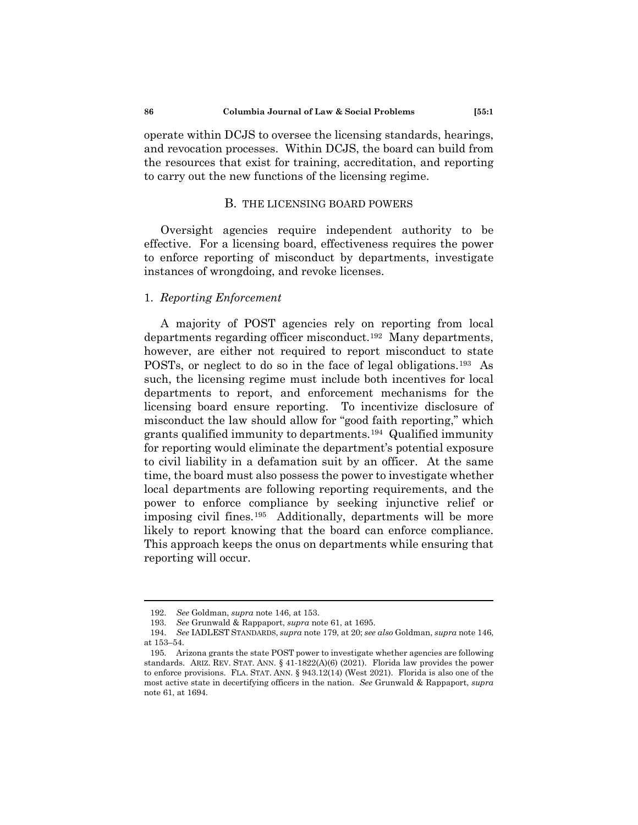operate within DCJS to oversee the licensing standards, hearings, and revocation processes. Within DCJS, the board can build from the resources that exist for training, accreditation, and reporting to carry out the new functions of the licensing regime.

## B. THE LICENSING BOARD POWERS

Oversight agencies require independent authority to be effective. For a licensing board, effectiveness requires the power to enforce reporting of misconduct by departments, investigate instances of wrongdoing, and revoke licenses.

## 1. *Reporting Enforcement*

A majority of POST agencies rely on reporting from local departments regarding officer misconduct.[192](#page-29-0) Many departments, however, are either not required to report misconduct to state POSTs, or neglect to do so in the face of legal obligations.[193](#page-29-1) As such, the licensing regime must include both incentives for local departments to report, and enforcement mechanisms for the licensing board ensure reporting. To incentivize disclosure of misconduct the law should allow for "good faith reporting," which grants qualified immunity to departments.[194](#page-29-2) Qualified immunity for reporting would eliminate the department's potential exposure to civil liability in a defamation suit by an officer. At the same time, the board must also possess the power to investigate whether local departments are following reporting requirements, and the power to enforce compliance by seeking injunctive relief or imposing civil fines.[195](#page-29-3) Additionally, departments will be more likely to report knowing that the board can enforce compliance. This approach keeps the onus on departments while ensuring that reporting will occur.

<sup>192.</sup> *See* Goldman, *supra* note 146, at 153.

<sup>193.</sup> *See* Grunwald & Rappaport, *supra* note 61, at 1695.

<span id="page-29-2"></span><span id="page-29-1"></span><span id="page-29-0"></span><sup>194.</sup> *See* IADLEST STANDARDS, *supra* note 179, at 20; *see also* Goldman, *supra* note 146, at 153–54.

<span id="page-29-3"></span><sup>195.</sup> Arizona grants the state POST power to investigate whether agencies are following standards. ARIZ. REV. STAT. ANN.  $\S$  41-1822(A)(6) (2021). Florida law provides the power to enforce provisions. FLA. STAT. ANN. § 943.12(14) (West 2021). Florida is also one of the most active state in decertifying officers in the nation. *See* Grunwald & Rappaport, *supra* note 61, at 1694.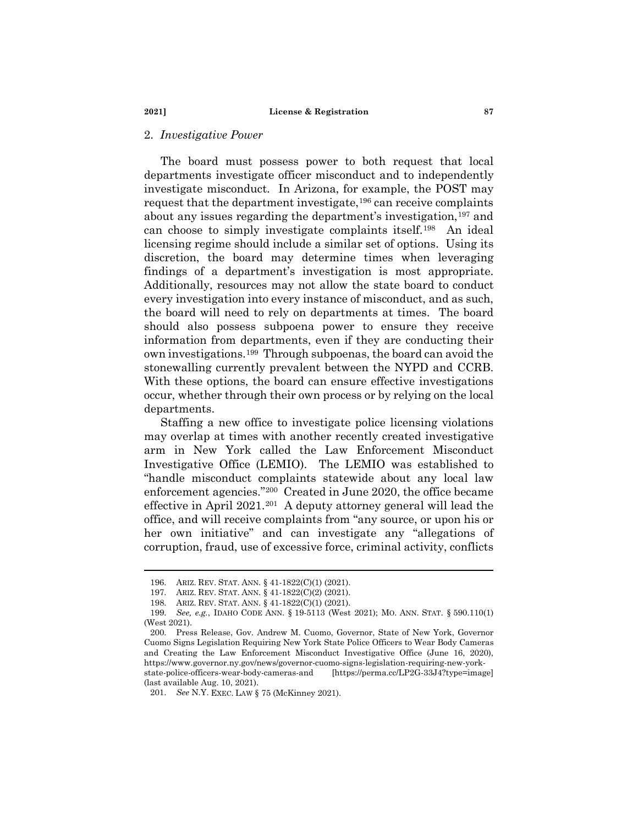## 2. *Investigative Power*

The board must possess power to both request that local departments investigate officer misconduct and to independently investigate misconduct. In Arizona, for example, the POST may request that the department investigate,[196](#page-30-0) can receive complaints about any issues regarding the department's investigation,<sup>[197](#page-30-1)</sup> and can choose to simply investigate complaints itself.[198](#page-30-2) An ideal licensing regime should include a similar set of options. Using its discretion, the board may determine times when leveraging findings of a department's investigation is most appropriate. Additionally, resources may not allow the state board to conduct every investigation into every instance of misconduct, and as such, the board will need to rely on departments at times. The board should also possess subpoena power to ensure they receive information from departments, even if they are conducting their own investigations.[199](#page-30-3) Through subpoenas, the board can avoid the stonewalling currently prevalent between the NYPD and CCRB. With these options, the board can ensure effective investigations occur, whether through their own process or by relying on the local departments.

Staffing a new office to investigate police licensing violations may overlap at times with another recently created investigative arm in New York called the Law Enforcement Misconduct Investigative Office (LEMIO). The LEMIO was established to "handle misconduct complaints statewide about any local law enforcement agencies."[200](#page-30-4) Created in June 2020, the office became effective in April 2021.[201](#page-30-5) A deputy attorney general will lead the office, and will receive complaints from "any source, or upon his or her own initiative" and can investigate any "allegations of corruption, fraud, use of excessive force, criminal activity, conflicts

<sup>196.</sup> ARIZ. REV. STAT. ANN. § 41-1822(C)(1) (2021).

<sup>197.</sup> ARIZ. REV. STAT. ANN. § 41-1822(C)(2) (2021).

<sup>198.</sup> ARIZ. REV. STAT. ANN. § 41-1822(C)(1) (2021).

<span id="page-30-3"></span><span id="page-30-2"></span><span id="page-30-1"></span><span id="page-30-0"></span><sup>199.</sup> *See, e.g.*, IDAHO CODE ANN. § 19-5113 (West 2021); MO. ANN. STAT. § 590.110(1) (West 2021).

<span id="page-30-4"></span><sup>200.</sup> Press Release, Gov. Andrew M. Cuomo, Governor, State of New York, Governor Cuomo Signs Legislation Requiring New York State Police Officers to Wear Body Cameras and Creating the Law Enforcement Misconduct Investigative Office (June 16, 2020), https://www.governor.ny.gov/news/governor-cuomo-signs-legislation-requiring-new-yorkstate-police-officers-wear-body-cameras-and [https://perma.cc/LP2G-33J4?type=image]

<span id="page-30-5"></span><sup>(</sup>last available Aug. 10, 2021).

<sup>201.</sup> *See* N.Y. EXEC. LAW § 75 (McKinney 2021).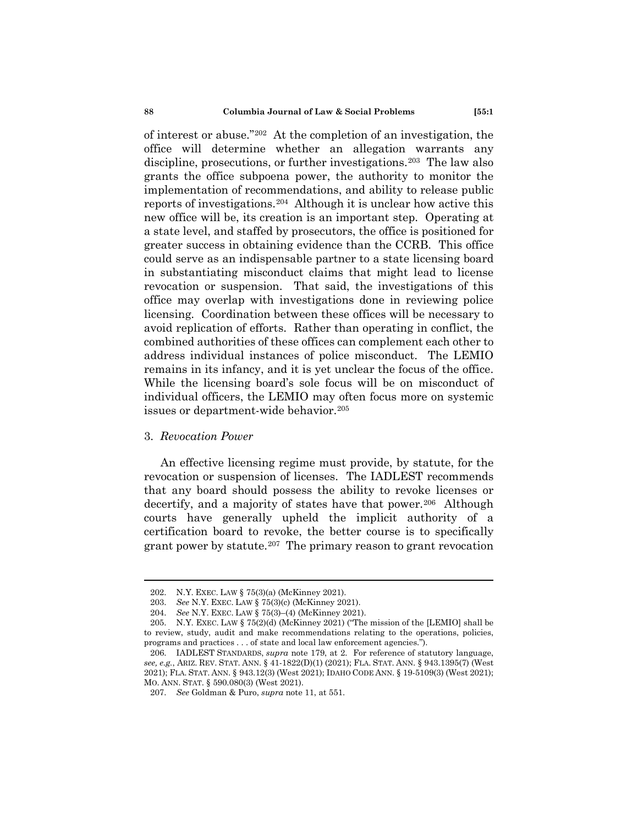of interest or abuse.["202](#page-31-0) At the completion of an investigation, the office will determine whether an allegation warrants any discipline, prosecutions, or further investigations.<sup>[203](#page-31-1)</sup> The law also grants the office subpoena power, the authority to monitor the implementation of recommendations, and ability to release public reports of investigations.[204](#page-31-2) Although it is unclear how active this new office will be, its creation is an important step. Operating at a state level, and staffed by prosecutors, the office is positioned for greater success in obtaining evidence than the CCRB. This office could serve as an indispensable partner to a state licensing board in substantiating misconduct claims that might lead to license revocation or suspension. That said, the investigations of this office may overlap with investigations done in reviewing police licensing. Coordination between these offices will be necessary to avoid replication of efforts. Rather than operating in conflict, the combined authorities of these offices can complement each other to address individual instances of police misconduct. The LEMIO remains in its infancy, and it is yet unclear the focus of the office. While the licensing board's sole focus will be on misconduct of individual officers, the LEMIO may often focus more on systemic issues or department-wide behavior.<sup>[205](#page-31-3)</sup>

## 3. *Revocation Power*

An effective licensing regime must provide, by statute, for the revocation or suspension of licenses. The IADLEST recommends that any board should possess the ability to revoke licenses or decertify, and a majority of states have that power.<sup>[206](#page-31-4)</sup> Although courts have generally upheld the implicit authority of a certification board to revoke, the better course is to specifically grant power by statute.<sup>207</sup> The primary reason to grant revocation

<sup>202.</sup> N.Y. EXEC. LAW § 75(3)(a) (McKinney 2021).

<sup>203.</sup> *See* N.Y. EXEC. LAW § 75(3)(c) (McKinney 2021).

<sup>204.</sup> *See* N.Y. EXEC. LAW § 75(3)–(4) (McKinney 2021).

<span id="page-31-3"></span><span id="page-31-2"></span><span id="page-31-1"></span><span id="page-31-0"></span><sup>205.</sup> N.Y. EXEC. LAW § 75(2)(d) (McKinney 2021) ("The mission of the [LEMIO] shall be to review, study, audit and make recommendations relating to the operations, policies, programs and practices . . . of state and local law enforcement agencies.").

<span id="page-31-5"></span><span id="page-31-4"></span><sup>206.</sup> IADLEST STANDARDS, *supra* note 179, at 2. For reference of statutory language, *see, e.g.*, ARIZ. REV. STAT. ANN. § 41-1822(D)(1) (2021); FLA. STAT. ANN. § 943.1395(7) (West 2021); FLA. STAT. ANN. § 943.12(3) (West 2021); IDAHO CODE ANN. § 19-5109(3) (West 2021); MO. ANN. STAT. § 590.080(3) (West 2021).

<sup>207.</sup> *See* Goldman & Puro, *supra* note 11, at 551.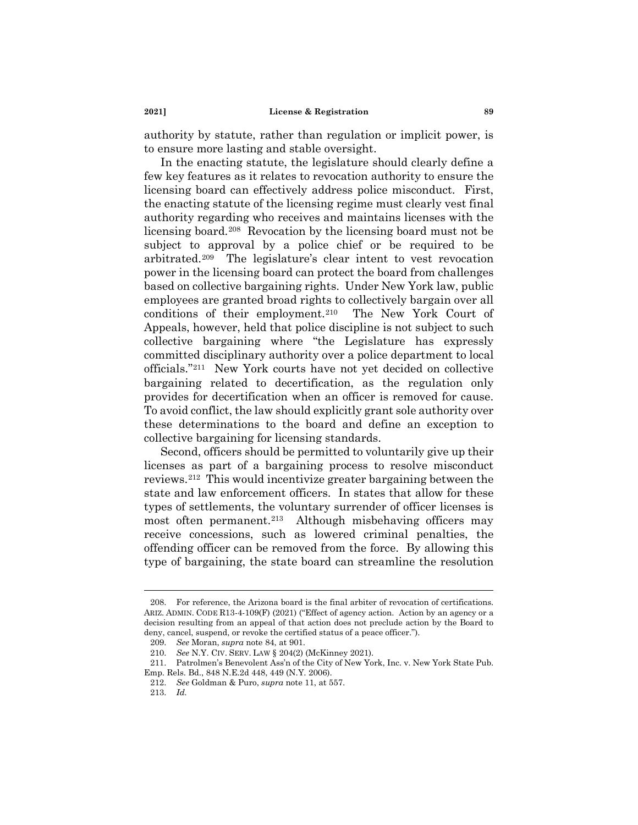authority by statute, rather than regulation or implicit power, is to ensure more lasting and stable oversight.

In the enacting statute, the legislature should clearly define a few key features as it relates to revocation authority to ensure the licensing board can effectively address police misconduct. First, the enacting statute of the licensing regime must clearly vest final authority regarding who receives and maintains licenses with the licensing board.[208](#page-32-0) Revocation by the licensing board must not be subject to approval by a police chief or be required to be arbitrated.[209](#page-32-1) The legislature's clear intent to vest revocation power in the licensing board can protect the board from challenges based on collective bargaining rights. Under New York law, public employees are granted broad rights to collectively bargain over all conditions of their employment[.210](#page-32-2) The New York Court of Appeals, however, held that police discipline is not subject to such collective bargaining where "the Legislature has expressly committed disciplinary authority over a police department to local officials.["211](#page-32-3) New York courts have not yet decided on collective bargaining related to decertification, as the regulation only provides for decertification when an officer is removed for cause. To avoid conflict, the law should explicitly grant sole authority over these determinations to the board and define an exception to collective bargaining for licensing standards.

Second, officers should be permitted to voluntarily give up their licenses as part of a bargaining process to resolve misconduct reviews.[212](#page-32-4) This would incentivize greater bargaining between the state and law enforcement officers. In states that allow for these types of settlements, the voluntary surrender of officer licenses is most often permanent.<sup>213</sup> Although misbehaving officers may receive concessions, such as lowered criminal penalties, the offending officer can be removed from the force. By allowing this type of bargaining, the state board can streamline the resolution

<span id="page-32-0"></span><sup>208.</sup> For reference, the Arizona board is the final arbiter of revocation of certifications. ARIZ. ADMIN. CODE R13-4-109(F) (2021) ("Effect of agency action. Action by an agency or a decision resulting from an appeal of that action does not preclude action by the Board to deny, cancel, suspend, or revoke the certified status of a peace officer.").

<sup>209.</sup> *See* Moran, *supra* note 84, at 901.

<sup>210.</sup> *See* N.Y. CIV. SERV. LAW § 204(2) (McKinney 2021).

<span id="page-32-5"></span><span id="page-32-4"></span><span id="page-32-3"></span><span id="page-32-2"></span><span id="page-32-1"></span><sup>211.</sup> Patrolmen's Benevolent Ass'n of the City of New York, Inc. v. New York State Pub. Emp. Rels. Bd., 848 N.E.2d 448, 449 (N.Y. 2006).

<sup>212.</sup> *See* Goldman & Puro, *supra* note 11, at 557.

<sup>213.</sup> *Id.*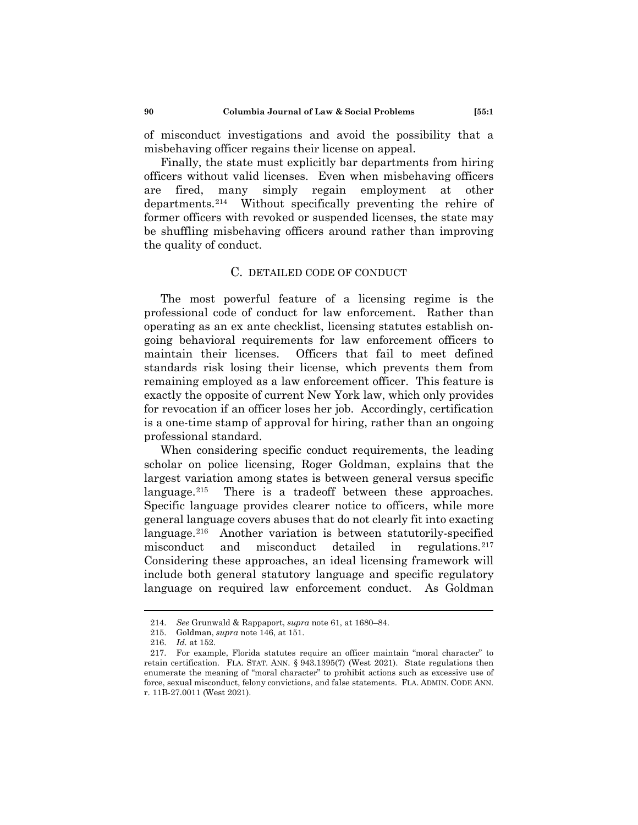of misconduct investigations and avoid the possibility that a misbehaving officer regains their license on appeal.

Finally, the state must explicitly bar departments from hiring officers without valid licenses. Even when misbehaving officers are fired, many simply regain employment at other departments.[214](#page-33-0) Without specifically preventing the rehire of former officers with revoked or suspended licenses, the state may be shuffling misbehaving officers around rather than improving the quality of conduct.

# C. DETAILED CODE OF CONDUCT

The most powerful feature of a licensing regime is the professional code of conduct for law enforcement. Rather than operating as an ex ante checklist, licensing statutes establish ongoing behavioral requirements for law enforcement officers to maintain their licenses. Officers that fail to meet defined standards risk losing their license, which prevents them from remaining employed as a law enforcement officer. This feature is exactly the opposite of current New York law, which only provides for revocation if an officer loses her job. Accordingly, certification is a one-time stamp of approval for hiring, rather than an ongoing professional standard.

When considering specific conduct requirements, the leading scholar on police licensing, Roger Goldman, explains that the largest variation among states is between general versus specific language.<sup>215</sup> There is a tradeoff between these approaches. Specific language provides clearer notice to officers, while more general language covers abuses that do not clearly fit into exacting language.[216](#page-33-2) Another variation is between statutorily-specified misconduct and misconduct detailed in regulations.[217](#page-33-3)  Considering these approaches, an ideal licensing framework will include both general statutory language and specific regulatory language on required law enforcement conduct. As Goldman

<sup>214.</sup> *See* Grunwald & Rappaport, *supra* note 61, at 1680–84.

<sup>215.</sup> Goldman, *supra* note 146, at 151.

<sup>216.</sup> *Id.* at 152.

<span id="page-33-3"></span><span id="page-33-2"></span><span id="page-33-1"></span><span id="page-33-0"></span><sup>217.</sup> For example, Florida statutes require an officer maintain "moral character" to retain certification. FLA. STAT. ANN. § 943.1395(7) (West 2021). State regulations then enumerate the meaning of "moral character" to prohibit actions such as excessive use of force, sexual misconduct, felony convictions, and false statements. FLA. ADMIN. CODE ANN. r. 11B-27.0011 (West 2021).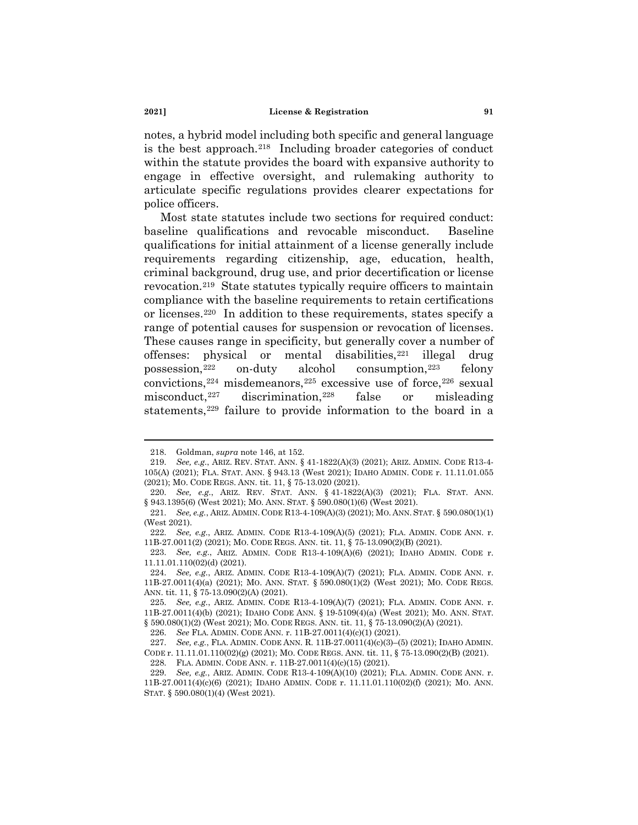notes, a hybrid model including both specific and general language is the best approach.[218](#page-34-0) Including broader categories of conduct within the statute provides the board with expansive authority to engage in effective oversight, and rulemaking authority to articulate specific regulations provides clearer expectations for police officers.

Most state statutes include two sections for required conduct: baseline qualifications and revocable misconduct. Baseline qualifications for initial attainment of a license generally include requirements regarding citizenship, age, education, health, criminal background, drug use, and prior decertification or license revocation.[219](#page-34-1) State statutes typically require officers to maintain compliance with the baseline requirements to retain certifications or licenses.[220](#page-34-2) In addition to these requirements, states specify a range of potential causes for suspension or revocation of licenses. These causes range in specificity, but generally cover a number of offenses: physical or mental disabilities,<sup>[221](#page-34-3)</sup> illegal drug possession,[222](#page-34-4) on-duty alcohol consumption,[223](#page-34-5) felony convictions,  $224$  misdemeanors,  $225$  excessive use of force,  $226$  sexual misconduct,  $227$  discrimination,  $228$  false or misleading statements,<sup>229</sup> failure to provide information to the board in a

<sup>218.</sup> Goldman, *supra* note 146, at 152.

<span id="page-34-1"></span><span id="page-34-0"></span><sup>219.</sup> *See, e.g.*, ARIZ. REV. STAT. ANN. § 41-1822(A)(3) (2021); ARIZ. ADMIN. CODE R13-4- 105(A) (2021); FLA. STAT. ANN. § 943.13 (West 2021); IDAHO ADMIN. CODE r. 11.11.01.055 (2021); MO. CODE REGS. ANN. tit. 11, § 75-13.020 (2021).

<span id="page-34-3"></span><span id="page-34-2"></span><sup>220.</sup> *See, e.g.*, ARIZ. REV. STAT. ANN. § 41-1822(A)(3) (2021); FLA. STAT. ANN. § 943.1395(6) (West 2021); Mo. ANN. STAT. § 590.080(1)(6) (West 2021).

<span id="page-34-4"></span><sup>221.</sup> *See, e.g.*, ARIZ. ADMIN. CODE R13-4-109(A)(3) (2021); MO. ANN. STAT. § 590.080(1)(1) (West 2021).

<span id="page-34-5"></span><sup>222.</sup> *See, e.g.*, ARIZ. ADMIN. CODE R13-4-109(A)(5) (2021); FLA. ADMIN. CODE ANN. r. 11B-27.0011(2) (2021); MO. CODE REGS. ANN. tit. 11, § 75-13.090(2)(B) (2021).

<sup>223.</sup> *See, e.g.*, ARIZ. ADMIN. CODE R13-4-109(A)(6) (2021); IDAHO ADMIN. CODE r. 11.11.01.110(02)(d) (2021).

<span id="page-34-6"></span><sup>224.</sup> *See, e.g.*, ARIZ. ADMIN. CODE R13-4-109(A)(7) (2021); FLA. ADMIN. CODE ANN. r. 11B-27.0011(4)(a) (2021); MO. ANN. STAT. § 590.080(1)(2) (West 2021); MO. CODE REGS. ANN. tit. 11, § 75-13.090(2)(A) (2021).

<span id="page-34-8"></span><span id="page-34-7"></span><sup>225.</sup> *See, e.g.*, ARIZ. ADMIN. CODE R13-4-109(A)(7) (2021); FLA. ADMIN. CODE ANN. r. 11B-27.0011(4)(b) (2021); IDAHO CODE ANN. § 19-5109(4)(a) (West 2021); MO. ANN. STAT. § 590.080(1)(2) (West 2021); Mo. CODE REGS. ANN. tit. 11, § 75-13.090(2)(A) (2021).

<sup>226.</sup> *See* FLA. ADMIN. CODE ANN. r. 11B-27.0011(4)(c)(1) (2021).

<span id="page-34-10"></span><span id="page-34-9"></span><sup>227.</sup> *See, e.g.*, FLA. ADMIN. CODE ANN. R. 11B-27.0011(4)(c)(3)–(5) (2021); IDAHO ADMIN. CODE r. 11.11.01.110(02)(g) (2021); MO. CODE REGS. ANN. tit. 11, § 75-13.090(2)(B) (2021). 228. FLA. ADMIN. CODE ANN. r. 11B-27.0011(4)(c)(15) (2021).

<span id="page-34-11"></span><sup>229.</sup> *See, e.g.*, ARIZ. ADMIN. CODE R13-4-109(A)(10) (2021); FLA. ADMIN. CODE ANN. r. 11B-27.0011(4)(c)(6) (2021); IDAHO ADMIN. CODE r. 11.11.01.110(02)(f) (2021); MO. ANN. STAT. § 590.080(1)(4) (West 2021).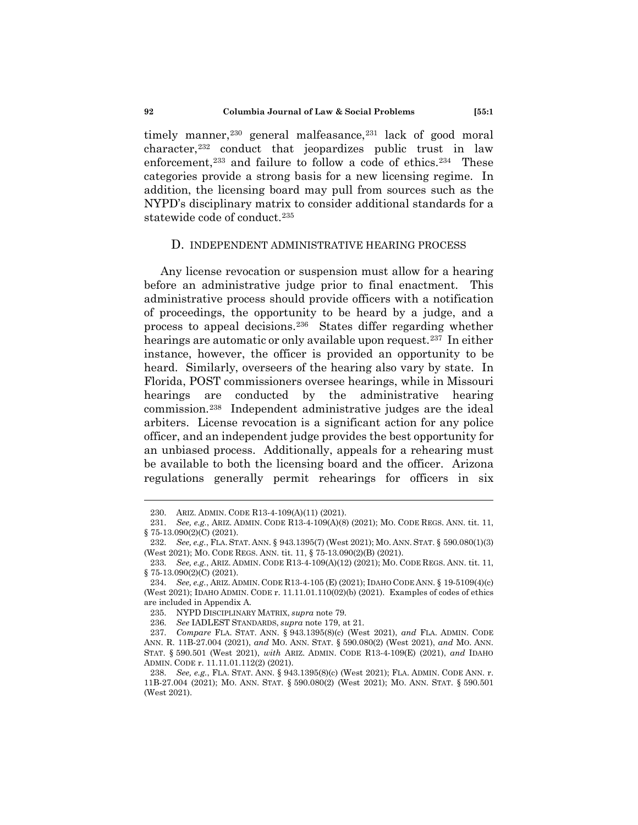timely manner,<sup>[230](#page-35-0)</sup> general malfeasance,<sup>[231](#page-35-1)</sup> lack of good moral character,<sup>[232](#page-35-2)</sup> conduct that jeopardizes public trust in law enforcement,<sup>[233](#page-35-3)</sup> and failure to follow a code of ethics.<sup>234</sup> These categories provide a strong basis for a new licensing regime. In addition, the licensing board may pull from sources such as the NYPD's disciplinary matrix to consider additional standards for a statewide code of conduct.<sup>[235](#page-35-5)</sup>

#### D. INDEPENDENT ADMINISTRATIVE HEARING PROCESS

Any license revocation or suspension must allow for a hearing before an administrative judge prior to final enactment. This administrative process should provide officers with a notification of proceedings, the opportunity to be heard by a judge, and a process to appeal decisions.[236](#page-35-6) States differ regarding whether hearings are automatic or only available upon request.<sup>[237](#page-35-7)</sup> In either instance, however, the officer is provided an opportunity to be heard. Similarly, overseers of the hearing also vary by state. In Florida, POST commissioners oversee hearings, while in Missouri hearings are conducted by the administrative hearing commission.[238](#page-35-8) Independent administrative judges are the ideal arbiters. License revocation is a significant action for any police officer, and an independent judge provides the best opportunity for an unbiased process. Additionally, appeals for a rehearing must be available to both the licensing board and the officer. Arizona regulations generally permit rehearings for officers in six

<sup>230.</sup> ARIZ. ADMIN. CODE R13-4-109(A)(11) (2021).

<span id="page-35-1"></span><span id="page-35-0"></span><sup>231.</sup> *See, e.g.*, ARIZ. ADMIN. CODE R13-4-109(A)(8) (2021); MO. CODE REGS. ANN. tit. 11, § 75-13.090(2)(C) (2021).

<span id="page-35-2"></span><sup>232.</sup> *See, e.g.*, FLA. STAT. ANN. § 943.1395(7) (West 2021); MO. ANN. STAT. § 590.080(1)(3) (West 2021); MO. CODE REGS. ANN. tit. 11, § 75-13.090(2)(B) (2021).

<span id="page-35-3"></span><sup>233.</sup> *See, e.g.*, ARIZ. ADMIN. CODE R13-4-109(A)(12) (2021); MO. CODE REGS. ANN. tit. 11, § 75-13.090(2)(C) (2021).

<span id="page-35-4"></span><sup>234.</sup> *See, e.g.*, ARIZ. ADMIN. CODE R13-4-105 (E) (2021); IDAHO CODE ANN. § 19-5109(4)(c) (West 2021); IDAHO ADMIN. CODE r. 11.11.01.110(02)(b) (2021). Examples of codes of ethics are included in Appendix A.

<sup>235.</sup> NYPD DISCIPLINARY MATRIX, *supra* note 79.

<sup>236.</sup> *See* IADLEST STANDARDS, *supra* note 179, at 21.

<span id="page-35-7"></span><span id="page-35-6"></span><span id="page-35-5"></span><sup>237.</sup> *Compare* FLA. STAT. ANN. § 943.1395(8)(c) (West 2021), *and* FLA. ADMIN. CODE ANN. R. 11B-27.004 (2021), *and* MO. ANN. STAT. § 590.080(2) (West 2021), *and* MO. ANN. STAT. § 590.501 (West 2021), *with* ARIZ. ADMIN. CODE R13-4-109(E) (2021), *and* IDAHO ADMIN. CODE r. 11.11.01.112(2) (2021).

<span id="page-35-8"></span><sup>238.</sup> *See, e.g.*, FLA. STAT. ANN. § 943.1395(8)(c) (West 2021); FLA. ADMIN. CODE ANN. r. 11B-27.004 (2021); MO. ANN. STAT. § 590.080(2) (West 2021); MO. ANN. STAT. § 590.501 (West 2021).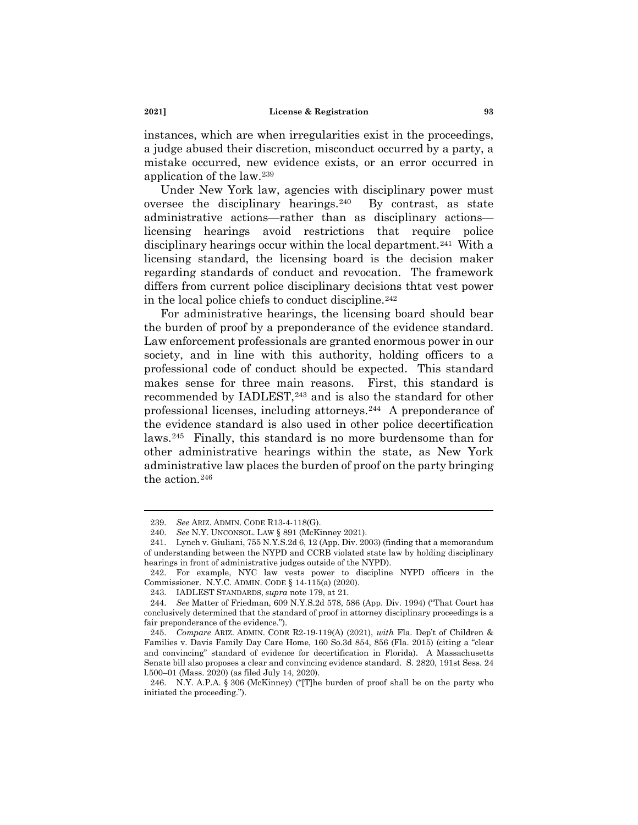instances, which are when irregularities exist in the proceedings, a judge abused their discretion, misconduct occurred by a party, a mistake occurred, new evidence exists, or an error occurred in application of the law.[239](#page-36-0)

Under New York law, agencies with disciplinary power must oversee the disciplinary hearings.<sup>[240](#page-36-1)</sup> By contrast, as state administrative actions—rather than as disciplinary actions licensing hearings avoid restrictions that require police disciplinary hearings occur within the local department.<sup>241</sup> With a licensing standard, the licensing board is the decision maker regarding standards of conduct and revocation. The framework differs from current police disciplinary decisions thtat vest power in the local police chiefs to conduct discipline.<sup>[242](#page-36-3)</sup>

For administrative hearings, the licensing board should bear the burden of proof by a preponderance of the evidence standard. Law enforcement professionals are granted enormous power in our society, and in line with this authority, holding officers to a professional code of conduct should be expected. This standard makes sense for three main reasons. First, this standard is recommended by IADLEST,<sup>[243](#page-36-4)</sup> and is also the standard for other professional licenses, including attorneys.[244](#page-36-5) A preponderance of the evidence standard is also used in other police decertification laws.[245](#page-36-6) Finally, this standard is no more burdensome than for other administrative hearings within the state, as New York administrative law places the burden of proof on the party bringing the action.[246](#page-36-7)

<sup>239.</sup> *See* ARIZ. ADMIN. CODE R13-4-118(G).

<sup>240.</sup> *See* N.Y. UNCONSOL. LAW § 891 (McKinney 2021).

<span id="page-36-2"></span><span id="page-36-1"></span><span id="page-36-0"></span><sup>241.</sup> Lynch v. Giuliani, 755 N.Y.S.2d 6, 12 (App. Div. 2003) (finding that a memorandum of understanding between the NYPD and CCRB violated state law by holding disciplinary hearings in front of administrative judges outside of the NYPD).

<span id="page-36-3"></span><sup>242.</sup> For example, NYC law vests power to discipline NYPD officers in the Commissioner. N.Y.C. ADMIN. CODE § 14-115(a) (2020).

<sup>243.</sup> IADLEST STANDARDS, *supra* note 179, at 21.

<span id="page-36-5"></span><span id="page-36-4"></span><sup>244.</sup> *See* Matter of Friedman, 609 N.Y.S.2d 578, 586 (App. Div. 1994) ("That Court has conclusively determined that the standard of proof in attorney disciplinary proceedings is a fair preponderance of the evidence.").

<span id="page-36-6"></span><sup>245.</sup> *Compare* ARIZ. ADMIN. CODE R2-19-119(A) (2021), *with* Fla. Dep't of Children & Families v. Davis Family Day Care Home, 160 So.3d 854, 856 (Fla. 2015) (citing a "clear and convincing" standard of evidence for decertification in Florida). A Massachusetts Senate bill also proposes a clear and convincing evidence standard. S. 2820, 191st Sess. 24 l.500–01 (Mass. 2020) (as filed July 14, 2020).

<span id="page-36-7"></span><sup>246.</sup> N.Y. A.P.A. § 306 (McKinney) ("[T]he burden of proof shall be on the party who initiated the proceeding.").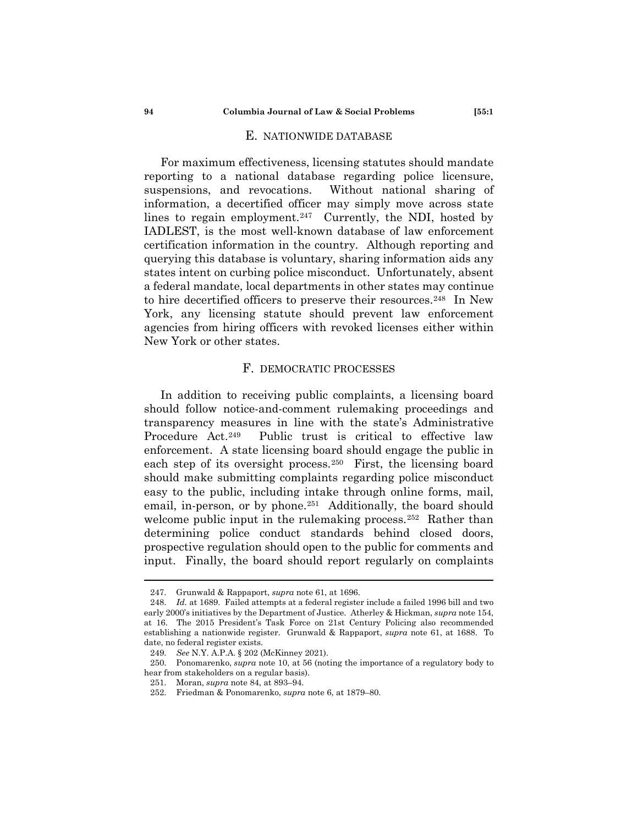## E. NATIONWIDE DATABASE

For maximum effectiveness, licensing statutes should mandate reporting to a national database regarding police licensure, suspensions, and revocations. Without national sharing of information, a decertified officer may simply move across state lines to regain employment. $247$  Currently, the NDI, hosted by IADLEST, is the most well-known database of law enforcement certification information in the country. Although reporting and querying this database is voluntary, sharing information aids any states intent on curbing police misconduct. Unfortunately, absent a federal mandate, local departments in other states may continue to hire decertified officers to preserve their resources.<sup>248</sup> In New York, any licensing statute should prevent law enforcement agencies from hiring officers with revoked licenses either within New York or other states.

# F. DEMOCRATIC PROCESSES

In addition to receiving public complaints, a licensing board should follow notice-and-comment rulemaking proceedings and transparency measures in line with the state's Administrative Procedure Act.[249](#page-37-2) Public trust is critical to effective law enforcement. A state licensing board should engage the public in each step of its oversight process.[250](#page-37-3) First, the licensing board should make submitting complaints regarding police misconduct easy to the public, including intake through online forms, mail, email, in-person, or by phone.<sup>[251](#page-37-4)</sup> Additionally, the board should welcome public input in the rulemaking process.<sup>[252](#page-37-5)</sup> Rather than determining police conduct standards behind closed doors, prospective regulation should open to the public for comments and input. Finally, the board should report regularly on complaints

<sup>247.</sup> Grunwald & Rappaport, *supra* note 61, at 1696.

<span id="page-37-1"></span><span id="page-37-0"></span><sup>248.</sup> *Id.* at 1689. Failed attempts at a federal register include a failed 1996 bill and two early 2000's initiatives by the Department of Justice. Atherley & Hickman, *supra* note 154, at 16. The 2015 President's Task Force on 21st Century Policing also recommended establishing a nationwide register. Grunwald & Rappaport, *supra* note 61, at 1688. To date, no federal register exists.

<sup>249.</sup> *See* N.Y. A.P.A. § 202 (McKinney 2021).

<span id="page-37-5"></span><span id="page-37-4"></span><span id="page-37-3"></span><span id="page-37-2"></span><sup>250.</sup> Ponomarenko, *supra* note 10, at 56 (noting the importance of a regulatory body to hear from stakeholders on a regular basis).

<sup>251.</sup> Moran, *supra* note 84, at 893–94.

<sup>252.</sup> Friedman & Ponomarenko, *supra* note 6, at 1879–80.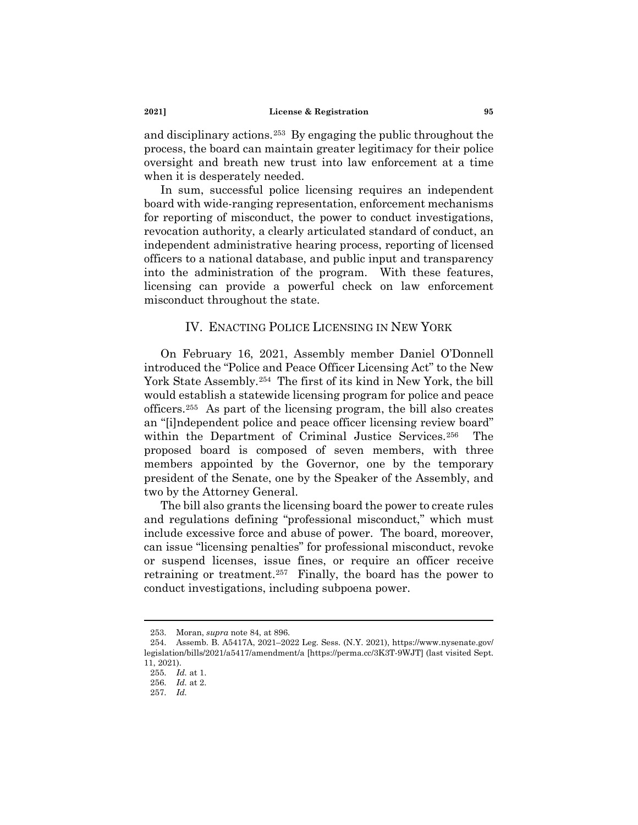and disciplinary actions.[253](#page-38-0) By engaging the public throughout the process, the board can maintain greater legitimacy for their police oversight and breath new trust into law enforcement at a time when it is desperately needed.

In sum, successful police licensing requires an independent board with wide-ranging representation, enforcement mechanisms for reporting of misconduct, the power to conduct investigations, revocation authority, a clearly articulated standard of conduct, an independent administrative hearing process, reporting of licensed officers to a national database, and public input and transparency into the administration of the program. With these features, licensing can provide a powerful check on law enforcement misconduct throughout the state.

# IV. ENACTING POLICE LICENSING IN NEW YORK

On February 16, 2021, Assembly member Daniel O'Donnell introduced the "Police and Peace Officer Licensing Act" to the New York State Assembly.[254](#page-38-1) The first of its kind in New York, the bill would establish a statewide licensing program for police and peace officers[.255](#page-38-2) As part of the licensing program, the bill also creates an "[i]ndependent police and peace officer licensing review board" within the Department of Criminal Justice Services.<sup>[256](#page-38-3)</sup> The proposed board is composed of seven members, with three members appointed by the Governor, one by the temporary president of the Senate, one by the Speaker of the Assembly, and two by the Attorney General.

The bill also grants the licensing board the power to create rules and regulations defining "professional misconduct," which must include excessive force and abuse of power. The board, moreover, can issue "licensing penalties" for professional misconduct, revoke or suspend licenses, issue fines, or require an officer receive retraining or treatment.[257](#page-38-4) Finally, the board has the power to conduct investigations, including subpoena power.

<sup>253.</sup> Moran, *supra* note 84, at 896.

<span id="page-38-3"></span><span id="page-38-2"></span><span id="page-38-1"></span><span id="page-38-0"></span><sup>254.</sup> Assemb. B. A5417A, 2021–2022 Leg. Sess. (N.Y. 2021), https://www.nysenate.gov/ legislation/bills/2021/a5417/amendment/a [https://perma.cc/3K3T-9WJT] (last visited Sept. 11, 2021).

<sup>255.</sup> *Id.* at 1.

<sup>256.</sup> *Id.* at 2.

<span id="page-38-4"></span><sup>257.</sup> *Id.*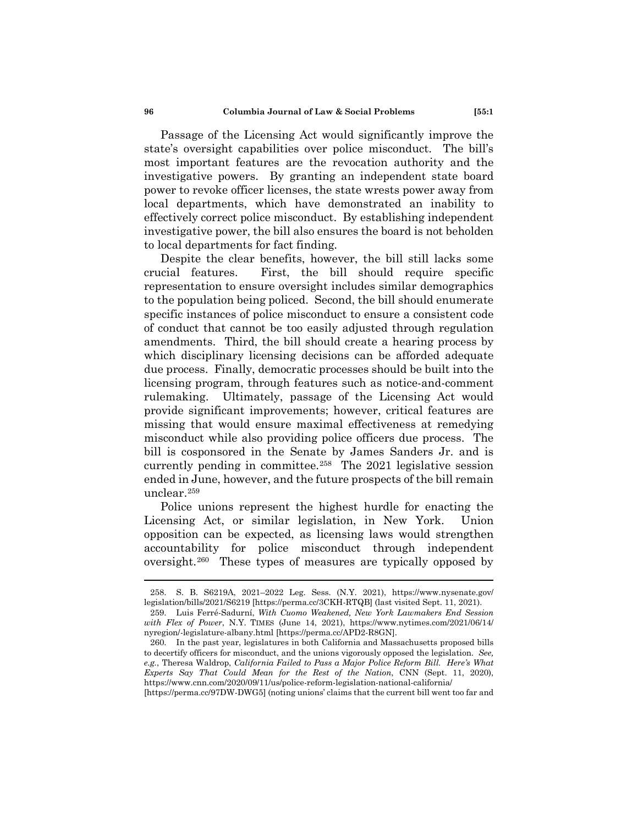Passage of the Licensing Act would significantly improve the state's oversight capabilities over police misconduct. The bill's most important features are the revocation authority and the investigative powers. By granting an independent state board power to revoke officer licenses, the state wrests power away from local departments, which have demonstrated an inability to effectively correct police misconduct. By establishing independent investigative power, the bill also ensures the board is not beholden to local departments for fact finding.

Despite the clear benefits, however, the bill still lacks some crucial features. First, the bill should require specific representation to ensure oversight includes similar demographics to the population being policed. Second, the bill should enumerate specific instances of police misconduct to ensure a consistent code of conduct that cannot be too easily adjusted through regulation amendments. Third, the bill should create a hearing process by which disciplinary licensing decisions can be afforded adequate due process. Finally, democratic processes should be built into the licensing program, through features such as notice-and-comment rulemaking. Ultimately, passage of the Licensing Act would provide significant improvements; however, critical features are missing that would ensure maximal effectiveness at remedying misconduct while also providing police officers due process. The bill is cosponsored in the Senate by James Sanders Jr. and is currently pending in committee.[258](#page-39-0) The 2021 legislative session ended in June, however, and the future prospects of the bill remain unclear.[259](#page-39-1)

Police unions represent the highest hurdle for enacting the Licensing Act, or similar legislation, in New York. Union opposition can be expected, as licensing laws would strengthen accountability for police misconduct through independent oversight.[260](#page-39-2) These types of measures are typically opposed by

[https://perma.cc/97DW-DWG5] (noting unions' claims that the current bill went too far and

<span id="page-39-0"></span><sup>258.</sup> S. B. S6219A, 2021–2022 Leg. Sess. (N.Y. 2021), https://www.nysenate.gov/ legislation/bills/2021/S6219 [https://perma.cc/3CKH-RTQB] (last visited Sept. 11, 2021).

<span id="page-39-1"></span><sup>259.</sup> Luis Ferré-Sadurní, *With Cuomo Weakened, New York Lawmakers End Session with Flex of Power*, N.Y. TIMES (June 14, 2021), https://www.nytimes.com/2021/06/14/ nyregion/-legislature-albany.html [https://perma.cc/APD2-R8GN].

<span id="page-39-2"></span><sup>260.</sup> In the past year, legislatures in both California and Massachusetts proposed bills to decertify officers for misconduct, and the unions vigorously opposed the legislation. *See, e.g.*, Theresa Waldrop, *California Failed to Pass a Major Police Reform Bill. Here's What Experts Say That Could Mean for the Rest of the Nation*, CNN (Sept. 11, 2020), https://www.cnn.com/2020/09/11/us/police-reform-legislation-national-california/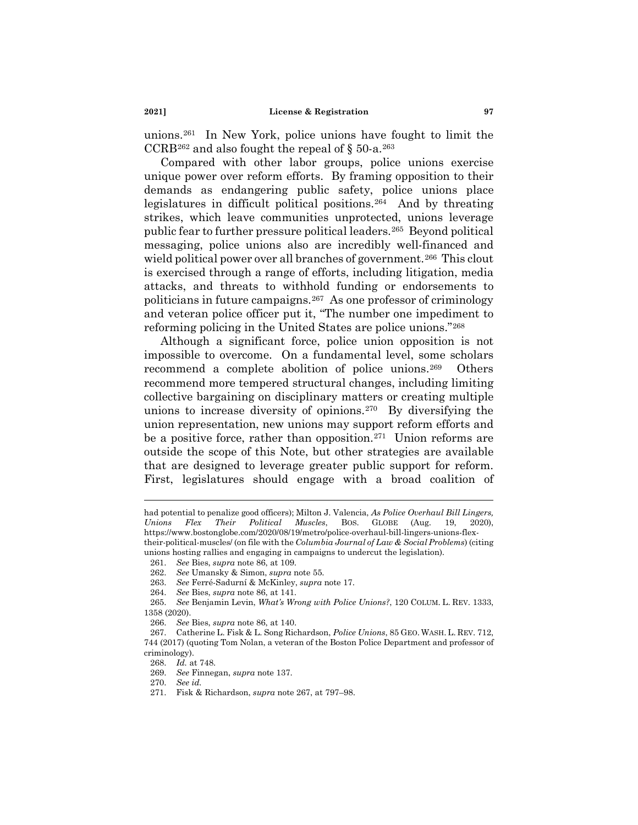unions.[261](#page-40-0) In New York, police unions have fought to limit the CCRB<sup>[262](#page-40-1)</sup> and also fought the repeal of  $\S$  50-a.<sup>[263](#page-40-2)</sup>

Compared with other labor groups, police unions exercise unique power over reform efforts. By framing opposition to their demands as endangering public safety, police unions place legislatures in difficult political positions.[264](#page-40-3) And by threating strikes, which leave communities unprotected, unions leverage public fear to further pressure political leaders.[265](#page-40-4) Beyond political messaging, police unions also are incredibly well-financed and wield political power over all branches of government.<sup>[266](#page-40-5)</sup> This clout is exercised through a range of efforts, including litigation, media attacks, and threats to withhold funding or endorsements to politicians in future campaigns.[267](#page-40-6) As one professor of criminology and veteran police officer put it, "The number one impediment to reforming policing in the United States are police unions."[268](#page-40-7)

Although a significant force, police union opposition is not impossible to overcome. On a fundamental level, some scholars recommend a complete abolition of police unions.[269](#page-40-8) Others recommend more tempered structural changes, including limiting collective bargaining on disciplinary matters or creating multiple unions to increase diversity of opinions.[270](#page-40-9) By diversifying the union representation, new unions may support reform efforts and be a positive force, rather than opposition.<sup>[271](#page-40-10)</sup> Union reforms are outside the scope of this Note, but other strategies are available that are designed to leverage greater public support for reform. First, legislatures should engage with a broad coalition of

had potential to penalize good officers); Milton J. Valencia, *As Police Overhaul Bill Lingers, Unions Flex Their Political Muscles*, BOS. GLOBE (Aug. 19, 2020), https://www.bostonglobe.com/2020/08/19/metro/police-overhaul-bill-lingers-unions-flextheir-political-muscles/ (on file with the *Columbia Journal of Law & Social Problems*) (citing unions hosting rallies and engaging in campaigns to undercut the legislation).

<span id="page-40-0"></span><sup>261.</sup> *See* Bies, *supra* note 86, at 109.

<sup>262.</sup> *See* Umansky & Simon, *supra* note 55.

<sup>263.</sup> *See* Ferré-Sadurní & McKinley, *supra* note 17.

<sup>264.</sup> *See* Bies, *supra* note 86, at 141.

<span id="page-40-4"></span><span id="page-40-3"></span><span id="page-40-2"></span><span id="page-40-1"></span><sup>265.</sup> *See* Benjamin Levin, *What's Wrong with Police Unions?*, 120 COLUM. L. REV. 1333, 1358 (2020).

<sup>266.</sup> *See* Bies, *supra* note 86, at 140.

<span id="page-40-8"></span><span id="page-40-7"></span><span id="page-40-6"></span><span id="page-40-5"></span><sup>267.</sup> Catherine L. Fisk & L. Song Richardson, *Police Unions*, 85 GEO. WASH. L. REV. 712, 744 (2017) (quoting Tom Nolan, a veteran of the Boston Police Department and professor of criminology).

<sup>268.</sup> *Id.* at 748.

<span id="page-40-9"></span><sup>269.</sup> *See* Finnegan, *supra* note 137.

<sup>270.</sup> *See id.*

<span id="page-40-10"></span><sup>271.</sup> Fisk & Richardson, *supra* note 267, at 797–98.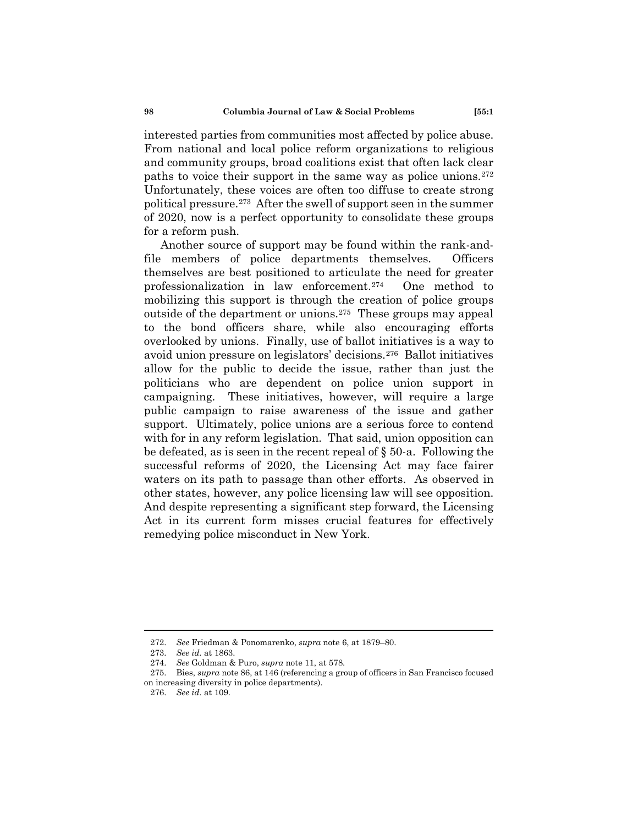interested parties from communities most affected by police abuse. From national and local police reform organizations to religious and community groups, broad coalitions exist that often lack clear paths to voice their support in the same way as police unions.[272](#page-41-0)  Unfortunately, these voices are often too diffuse to create strong political pressure.[273](#page-41-1) After the swell of support seen in the summer of 2020, now is a perfect opportunity to consolidate these groups for a reform push.

Another source of support may be found within the rank-andfile members of police departments themselves. Officers themselves are best positioned to articulate the need for greater professionalization in law enforcement.[274](#page-41-2) One method to mobilizing this support is through the creation of police groups outside of the department or unions.[275](#page-41-3) These groups may appeal to the bond officers share, while also encouraging efforts overlooked by unions. Finally, use of ballot initiatives is a way to avoid union pressure on legislators' decisions.[276](#page-41-4) Ballot initiatives allow for the public to decide the issue, rather than just the politicians who are dependent on police union support in campaigning. These initiatives, however, will require a large public campaign to raise awareness of the issue and gather support. Ultimately, police unions are a serious force to contend with for in any reform legislation. That said, union opposition can be defeated, as is seen in the recent repeal of § 50-a. Following the successful reforms of 2020, the Licensing Act may face fairer waters on its path to passage than other efforts. As observed in other states, however, any police licensing law will see opposition. And despite representing a significant step forward, the Licensing Act in its current form misses crucial features for effectively remedying police misconduct in New York.

<sup>272.</sup> *See* Friedman & Ponomarenko, *supra* note 6, at 1879–80.

<sup>273.</sup> *See id.* at 1863.

<sup>274.</sup> *See* Goldman & Puro, *supra* note 11, at 578.

<span id="page-41-4"></span><span id="page-41-3"></span><span id="page-41-2"></span><span id="page-41-1"></span><span id="page-41-0"></span><sup>275.</sup> Bies, *supra* note 86, at 146 (referencing a group of officers in San Francisco focused on increasing diversity in police departments).

<sup>276.</sup> *See id.* at 109.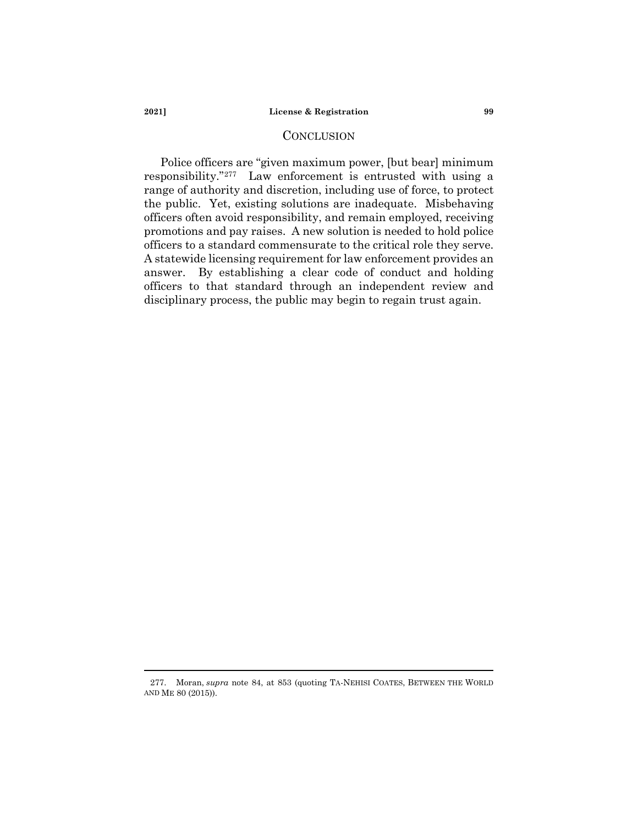## **CONCLUSION**

Police officers are "given maximum power, [but bear] minimum responsibility."[277](#page-42-0) Law enforcement is entrusted with using a range of authority and discretion, including use of force, to protect the public. Yet, existing solutions are inadequate. Misbehaving officers often avoid responsibility, and remain employed, receiving promotions and pay raises. A new solution is needed to hold police officers to a standard commensurate to the critical role they serve. A statewide licensing requirement for law enforcement provides an answer. By establishing a clear code of conduct and holding officers to that standard through an independent review and disciplinary process, the public may begin to regain trust again.

<span id="page-42-0"></span><sup>277.</sup> Moran, *supra* note 84, at 853 (quoting TA-NEHISI COATES, BETWEEN THE WORLD AND ME 80 (2015)).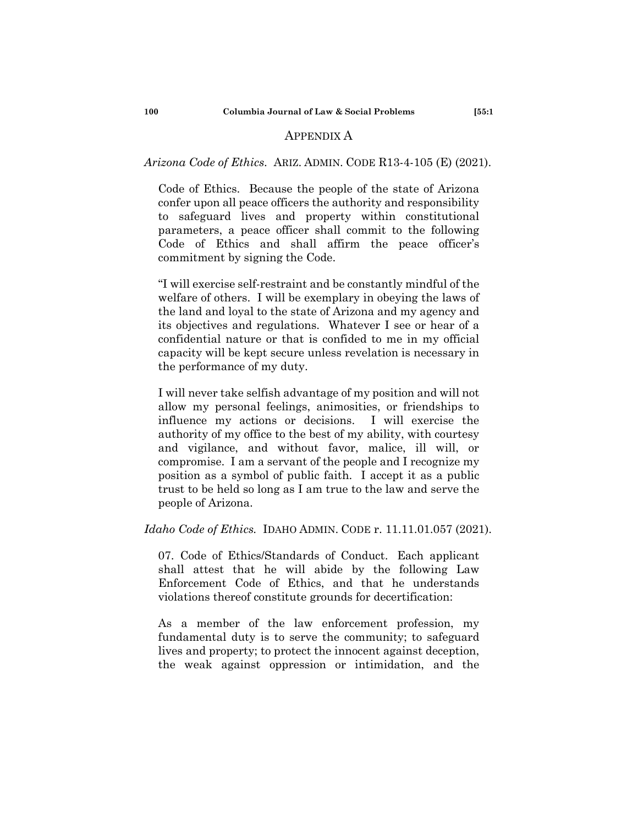## APPENDIX A

# *Arizona Code of Ethics*. ARIZ. ADMIN. CODE R13-4-105 (E) (2021).

Code of Ethics. Because the people of the state of Arizona confer upon all peace officers the authority and responsibility to safeguard lives and property within constitutional parameters, a peace officer shall commit to the following Code of Ethics and shall affirm the peace officer's commitment by signing the Code.

"I will exercise self-restraint and be constantly mindful of the welfare of others. I will be exemplary in obeying the laws of the land and loyal to the state of Arizona and my agency and its objectives and regulations. Whatever I see or hear of a confidential nature or that is confided to me in my official capacity will be kept secure unless revelation is necessary in the performance of my duty.

I will never take selfish advantage of my position and will not allow my personal feelings, animosities, or friendships to influence my actions or decisions. I will exercise the authority of my office to the best of my ability, with courtesy and vigilance, and without favor, malice, ill will, or compromise. I am a servant of the people and I recognize my position as a symbol of public faith. I accept it as a public trust to be held so long as I am true to the law and serve the people of Arizona.

# *Idaho Code of Ethics.* IDAHO ADMIN. CODE r. 11.11.01.057 (2021).

07. Code of Ethics/Standards of Conduct. Each applicant shall attest that he will abide by the following Law Enforcement Code of Ethics, and that he understands violations thereof constitute grounds for decertification:

As a member of the law enforcement profession, my fundamental duty is to serve the community; to safeguard lives and property; to protect the innocent against deception, the weak against oppression or intimidation, and the